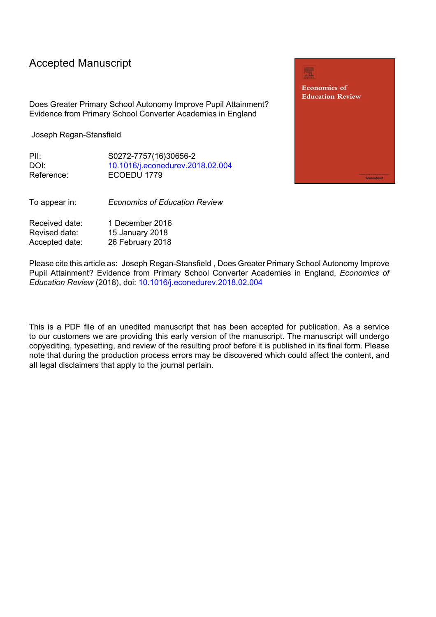# Accepted Manuscript

Does Greater Primary School Autonomy Improve Pupil Attainment? Evidence from Primary School Converter Academies in England

Joseph Regan-Stansfield

PII: S0272-7757(16)30656-2 DOI: [10.1016/j.econedurev.2018.02.004](https://doi.org/10.1016/j.econedurev.2018.02.004) Reference: ECOEDU 1779

To appear in: *Economics of Education Review*

Received date: 1 December 2016 Revised date: 15 January 2018 Accepted date: 26 February 2018

Please cite this article as: Joseph Regan-Stansfield , Does Greater Primary School Autonomy Improve Pupil Attainment? Evidence from Primary School Converter Academies in England, *Economics of Education Review* (2018), doi: [10.1016/j.econedurev.2018.02.004](https://doi.org/10.1016/j.econedurev.2018.02.004)

This is a PDF file of an unedited manuscript that has been accepted for publication. As a service to our customers we are providing this early version of the manuscript. The manuscript will undergo copyediting, typesetting, and review of the resulting proof before it is published in its final form. Please note that during the production process errors may be discovered which could affect the content, and all legal disclaimers that apply to the journal pertain.

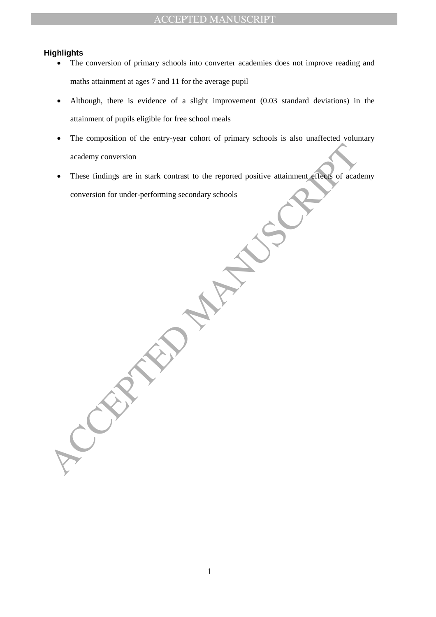### **Highlights**

- The conversion of primary schools into converter academies does not improve reading and maths attainment at ages 7 and 11 for the average pupil
- Although, there is evidence of a slight improvement (0.03 standard deviations) in the attainment of pupils eligible for free school meals
- The composition of the entry-year cohort of primary schools is also unaffected voluntary academy conversion
- academy conversion<br>
These findings are in stark contrast to the reported positive attainment effects of academy<br>
conversion for under-performing secondary schools<br>
ACCEPTED MANUSCRIPTION OF ACCEPTED AND THE SEARCH OF THE S • These findings are in stark contrast to the reported positive attainment effects of academy conversion for under-performing secondary schools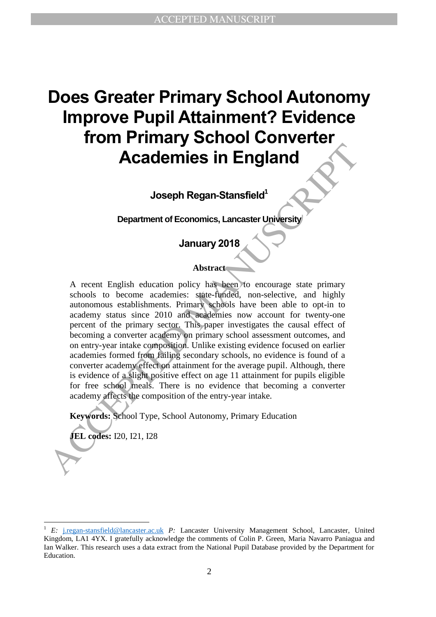# **Does Greater Primary School Autonomy Improve Pupil Attainment? Evidence from Primary School Converter Academies in England**

**Joseph Regan-Stansfield<sup>1</sup>**

**Department of Economics, Lancaster University**

# **January 2018**

## **Abstract**

**Accelering Solution**<br> **Accelering Solution**<br> **Accelering Solution**<br> **Accelering Solution**<br> **Accelering Accelering Accelering Accelering Solution**<br>
Accelering accelering schools to become academies: sate thright, mon-selec A recent English education policy has been to encourage state primary schools to become academies: state-funded, non-selective, and highly autonomous establishments. Primary schools have been able to opt-in to academy status since 2010 and academies now account for twenty-one percent of the primary sector. This paper investigates the causal effect of becoming a converter academy on primary school assessment outcomes, and on entry-year intake composition. Unlike existing evidence focused on earlier academies formed from failing secondary schools, no evidence is found of a converter academy effect on attainment for the average pupil. Although, there is evidence of a slight positive effect on age 11 attainment for pupils eligible for free school meals. There is no evidence that becoming a converter academy affects the composition of the entry-year intake.

**Keywords:** School Type, School Autonomy, Primary Education

**JEL codes:** I20, I21, I28

<sup>1</sup> *E:* j.regan-stansfield@lancaster.ac.uk *P:* Lancaster University Management School, Lancaster, United Kingdom, LA1 4YX. I gratefully acknowledge the comments of Colin P. Green, Maria Navarro Paniagua and Ian Walker. This research uses a data extract from the National Pupil Database provided by the Department for Education.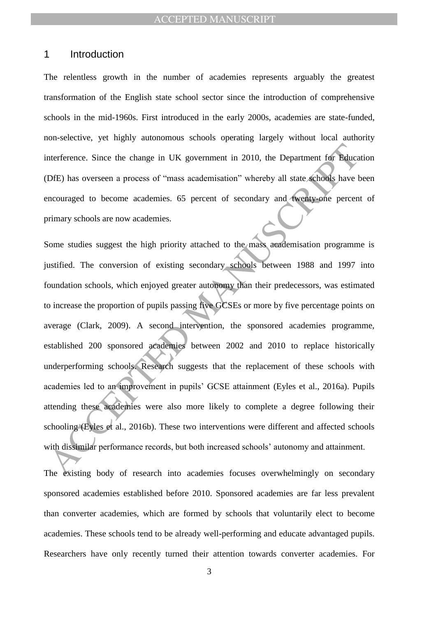## 1 Introduction

The relentless growth in the number of academies represents arguably the greatest transformation of the English state school sector since the introduction of comprehensive schools in the mid-1960s. First introduced in the early 2000s, academies are state-funded, non-selective, yet highly autonomous schools operating largely without local authority interference. Since the change in UK government in 2010, the Department for Education (DfE) has overseen a process of "mass academisation" whereby all state schools have been encouraged to become academies. 65 percent of secondary and twenty-one percent of primary schools are now academies.

merference. Since the change in UK government in 2010, the Department for Bduca<br>DfE) has overseen a process of "mass academisation" whereby all state schools have the<br>couraged to become academies. 65 percent of secondary a Some studies suggest the high priority attached to the mass academisation programme is justified. The conversion of existing secondary schools between 1988 and 1997 into foundation schools, which enjoyed greater autonomy than their predecessors, was estimated to increase the proportion of pupils passing five GCSEs or more by five percentage points on average (Clark, 2009). A second intervention, the sponsored academies programme, established 200 sponsored academies between 2002 and 2010 to replace historically underperforming schools. Research suggests that the replacement of these schools with academies led to an improvement in pupils" GCSE attainment (Eyles et al., 2016a). Pupils attending these academies were also more likely to complete a degree following their schooling (Eyles et al., 2016b). These two interventions were different and affected schools with dissimilar performance records, but both increased schools' autonomy and attainment.

The existing body of research into academies focuses overwhelmingly on secondary sponsored academies established before 2010. Sponsored academies are far less prevalent than converter academies, which are formed by schools that voluntarily elect to become academies. These schools tend to be already well-performing and educate advantaged pupils. Researchers have only recently turned their attention towards converter academies. For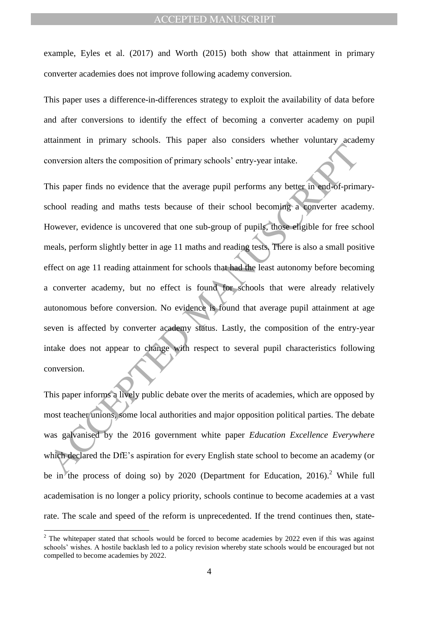example, Eyles et al. (2017) and Worth (2015) both show that attainment in primary converter academies does not improve following academy conversion.

This paper uses a difference-in-differences strategy to exploit the availability of data before and after conversions to identify the effect of becoming a converter academy on pupil attainment in primary schools. This paper also considers whether voluntary academy conversion alters the composition of primary schools" entry-year intake.

Manuscript and the composition of primary schools' chtry-year intake.<br>
This paper finds no evidence that the average pupil performs any better in ead-of-prime<br>
thool reading and maths tests because of their school becomin This paper finds no evidence that the average pupil performs any better in end-of-primaryschool reading and maths tests because of their school becoming a converter academy. However, evidence is uncovered that one sub-group of pupils, those eligible for free school meals, perform slightly better in age 11 maths and reading tests. There is also a small positive effect on age 11 reading attainment for schools that had the least autonomy before becoming a converter academy, but no effect is found for schools that were already relatively autonomous before conversion. No evidence is found that average pupil attainment at age seven is affected by converter academy status. Lastly, the composition of the entry-year intake does not appear to change with respect to several pupil characteristics following conversion.

This paper informs a lively public debate over the merits of academies, which are opposed by most teacher unions, some local authorities and major opposition political parties. The debate was galvanised by the 2016 government white paper *Education Excellence Everywhere* which declared the DfE's aspiration for every English state school to become an academy (or be in the process of doing so) by 2020 (Department for Education, 2016).<sup>2</sup> While full academisation is no longer a policy priority, schools continue to become academies at a vast rate. The scale and speed of the reform is unprecedented. If the trend continues then, state-

 $2$  The whitepaper stated that schools would be forced to become academies by 2022 even if this was against schools" wishes. A hostile backlash led to a policy revision whereby state schools would be encouraged but not compelled to become academies by 2022.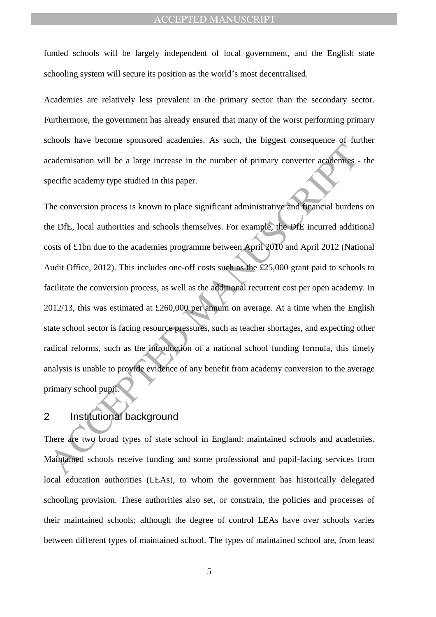funded schools will be largely independent of local government, and the English state schooling system will secure its position as the world"s most decentralised.

Academies are relatively less prevalent in the primary sector than the secondary sector. Furthermore, the government has already ensured that many of the worst performing primary schools have become sponsored academies. As such, the biggest consequence of further academisation will be a large increase in the number of primary converter academies - the specific academy type studied in this paper.

The state of the large increase in the number of primary converter academisation will be a large increase in the number of primary converter academinative prediction and this paper.<br>The conversion process is known to place The conversion process is known to place significant administrative and financial burdens on the DfE, local authorities and schools themselves. For example, the DfE incurred additional costs of £1bn due to the academies programme between April 2010 and April 2012 (National Audit Office, 2012). This includes one-off costs such as the £25,000 grant paid to schools to facilitate the conversion process, as well as the additional recurrent cost per open academy. In 2012/13, this was estimated at £260,000 per annum on average. At a time when the English state school sector is facing resource pressures, such as teacher shortages, and expecting other radical reforms, such as the introduction of a national school funding formula, this timely analysis is unable to provide evidence of any benefit from academy conversion to the average primary school pupil.

# 2 Institutional background

There are two broad types of state school in England: maintained schools and academies. Maintained schools receive funding and some professional and pupil-facing services from local education authorities (LEAs), to whom the government has historically delegated schooling provision. These authorities also set, or constrain, the policies and processes of their maintained schools; although the degree of control LEAs have over schools varies between different types of maintained school. The types of maintained school are, from least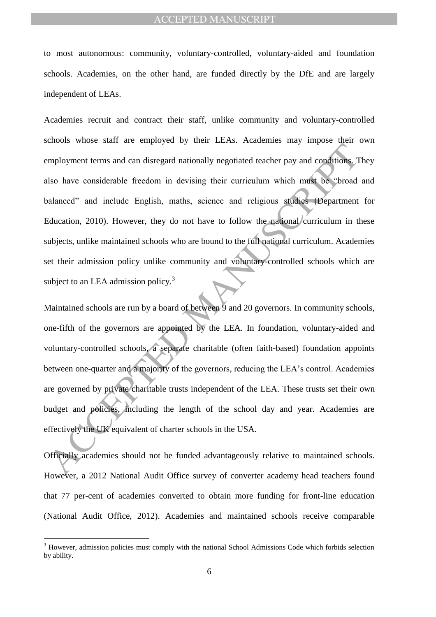to most autonomous: community, voluntary-controlled, voluntary-aided and foundation schools. Academies, on the other hand, are funded directly by the DfE and are largely independent of LEAs.

The means and a majority of the governors, reducing the CHA Therefore and the standard standard standard and the standard standard and include English, maths, science and religious studies. (Department direction, 2010). Ho Academies recruit and contract their staff, unlike community and voluntary-controlled schools whose staff are employed by their LEAs. Academies may impose their own employment terms and can disregard nationally negotiated teacher pay and conditions. They also have considerable freedom in devising their curriculum which must be "broad and balanced" and include English, maths, science and religious studies (Department for Education, 2010). However, they do not have to follow the national curriculum in these subjects, unlike maintained schools who are bound to the full national curriculum. Academies set their admission policy unlike community and voluntary-controlled schools which are subject to an LEA admission policy.<sup>3</sup>

Maintained schools are run by a board of between 9 and 20 governors. In community schools, one-fifth of the governors are appointed by the LEA. In foundation, voluntary-aided and voluntary-controlled schools, a separate charitable (often faith-based) foundation appoints between one-quarter and a majority of the governors, reducing the LEA's control. Academies are governed by private charitable trusts independent of the LEA. These trusts set their own budget and policies, including the length of the school day and year. Academies are effectively the UK equivalent of charter schools in the USA.

Officially academies should not be funded advantageously relative to maintained schools. However, a 2012 National Audit Office survey of converter academy head teachers found that 77 per-cent of academies converted to obtain more funding for front-line education (National Audit Office, 2012). Academies and maintained schools receive comparable

 $3$  However, admission policies must comply with the national School Admissions Code which forbids selection by ability.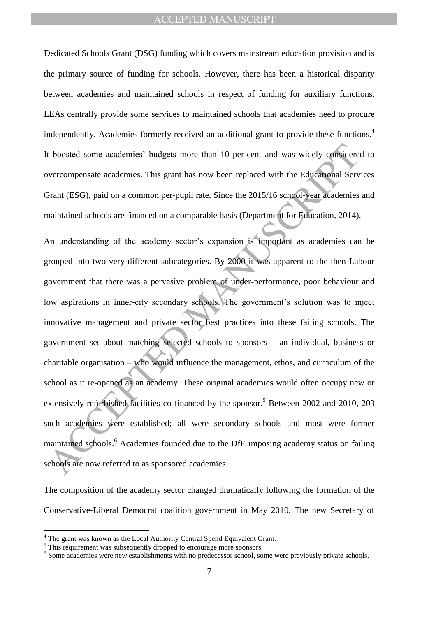Dedicated Schools Grant (DSG) funding which covers mainstream education provision and is the primary source of funding for schools. However, there has been a historical disparity between academies and maintained schools in respect of funding for auxiliary functions. LEAs centrally provide some services to maintained schools that academies need to procure independently. Academies formerly received an additional grant to provide these functions.<sup>4</sup> It boosted some academies" budgets more than 10 per-cent and was widely considered to overcompensate academies. This grant has now been replaced with the Educational Services Grant (ESG), paid on a common per-pupil rate. Since the 2015/16 school-year academies and maintained schools are financed on a comparable basis (Department for Education, 2014).

t boosted some academies' budgets more than 10 per-cent and was widely considerever<br>compensate academies. This grant has now been replaced with the Educational Server<br>orient (ESG), paid on a common per-pupil rate. Since th An understanding of the academy sector's expansion is important as academies can be grouped into two very different subcategories. By 2000 it was apparent to the then Labour government that there was a pervasive problem of under-performance, poor behaviour and low aspirations in inner-city secondary schools. The government's solution was to inject innovative management and private sector best practices into these failing schools. The government set about matching selected schools to sponsors – an individual, business or charitable organisation – who would influence the management, ethos, and curriculum of the school as it re-opened as an academy. These original academies would often occupy new or extensively refurbished facilities co-financed by the sponsor.<sup>5</sup> Between 2002 and 2010, 203 such academies were established; all were secondary schools and most were former maintained schools.<sup>6</sup> Academies founded due to the DfE imposing academy status on failing schools are now referred to as sponsored academies.

The composition of the academy sector changed dramatically following the formation of the Conservative-Liberal Democrat coalition government in May 2010. The new Secretary of

<sup>&</sup>lt;sup>4</sup> The grant was known as the Local Authority Central Spend Equivalent Grant.

<sup>&</sup>lt;sup>5</sup> This requirement was subsequently dropped to encourage more sponsors.

<sup>&</sup>lt;sup>6</sup> Some academies were new establishments with no predecessor school, some were previously private schools.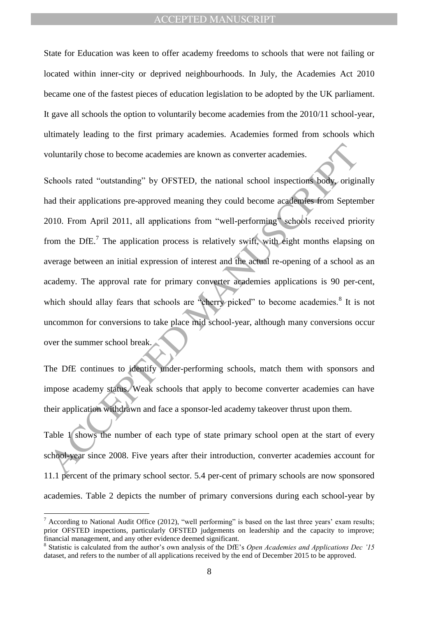State for Education was keen to offer academy freedoms to schools that were not failing or located within inner-city or deprived neighbourhoods. In July, the Academies Act 2010 became one of the fastest pieces of education legislation to be adopted by the UK parliament. It gave all schools the option to voluntarily become academies from the 2010/11 school-year, ultimately leading to the first primary academies. Academies formed from schools which voluntarily chose to become academies are known as converter academies.

Following those to become academies are known as converter academies.<br>
Schools rated "outstanding" by OFSTED, the national school inspections body, original<br>
diteir applications pre-approved meaning they could become acade Schools rated "outstanding" by OFSTED, the national school inspections body, originally had their applications pre-approved meaning they could become academies from September 2010. From April 2011, all applications from "well-performing" schools received priority from the DfE.<sup>7</sup> The application process is relatively swift, with eight months elapsing on average between an initial expression of interest and the actual re-opening of a school as an academy. The approval rate for primary converter academies applications is 90 per-cent, which should allay fears that schools are "cherry picked" to become academies. $8$  It is not uncommon for conversions to take place mid school-year, although many conversions occur over the summer school break

The DfE continues to identify under-performing schools, match them with sponsors and impose academy status. Weak schools that apply to become converter academies can have their application withdrawn and face a sponsor-led academy takeover thrust upon them.

Table 1 shows the number of each type of state primary school open at the start of every school-year since 2008. Five years after their introduction, converter academies account for 11.1 percent of the primary school sector. 5.4 per-cent of primary schools are now sponsored academies. Table 2 depicts the number of primary conversions during each school-year by

 $<sup>7</sup>$  According to National Audit Office (2012), "well performing" is based on the last three years' exam results;</sup> prior OFSTED inspections, particularly OFSTED judgements on leadership and the capacity to improve; financial management, and any other evidence deemed significant.

<sup>&</sup>lt;sup>8</sup> Statistic is calculated from the author's own analysis of the DfE's *Open Academies and Applications Dec '15* dataset, and refers to the number of all applications received by the end of December 2015 to be approved.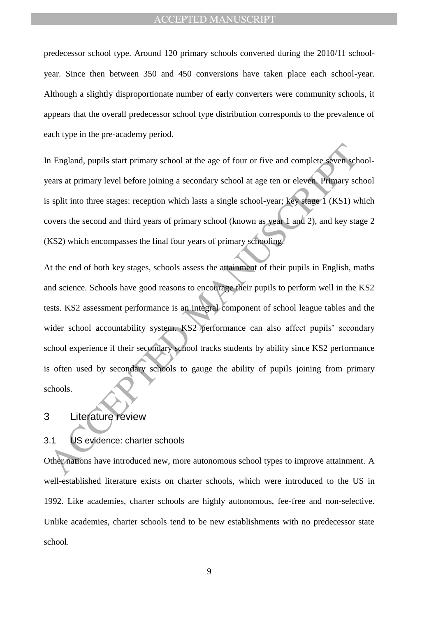predecessor school type. Around 120 primary schools converted during the 2010/11 schoolyear. Since then between 350 and 450 conversions have taken place each school-year. Although a slightly disproportionate number of early converters were community schools, it appears that the overall predecessor school type distribution corresponds to the prevalence of each type in the pre-academy period.

In England, pupils start primary school at the age of four or five and complete seven schoolyears at primary level before joining a secondary school at age ten or eleven. Primary school is split into three stages: reception which lasts a single school-year; key stage 1 (KS1) which covers the second and third years of primary school (known as year 1 and 2), and key stage 2 (KS2) which encompasses the final four years of primary schooling.

The Hinduity start primary school at the age of four or five and complete seven scheme as a primary level before joining a secondary school at age ten or eleven. Primary scheme as a split into three stages: reception which At the end of both key stages, schools assess the attainment of their pupils in English, maths and science. Schools have good reasons to encourage their pupils to perform well in the KS2 tests. KS2 assessment performance is an integral component of school league tables and the wider school accountability system. KS2 performance can also affect pupils' secondary school experience if their secondary school tracks students by ability since KS2 performance is often used by secondary schools to gauge the ability of pupils joining from primary schools.

## 3 Literature review

## 3.1 US evidence: charter schools

Other nations have introduced new, more autonomous school types to improve attainment. A well-established literature exists on charter schools, which were introduced to the US in 1992. Like academies, charter schools are highly autonomous, fee-free and non-selective. Unlike academies, charter schools tend to be new establishments with no predecessor state school.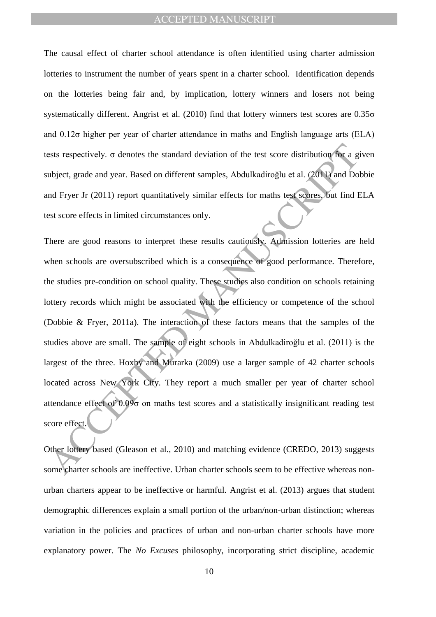The causal effect of charter school attendance is often identified using charter admission lotteries to instrument the number of years spent in a charter school. Identification depends on the lotteries being fair and, by implication, lottery winners and losers not being systematically different. Angrist et al. (2010) find that lottery winners test scores are 0.35σ and 0.12σ higher per year of charter attendance in maths and English language arts (ELA) tests respectively. σ denotes the standard deviation of the test score distribution for a given subject, grade and year. Based on different samples, Abdulkadiroğlu et al. (2011) and Dobbie and Fryer Jr (2011) report quantitatively similar effects for maths test scores, but find ELA test score effects in limited circumstances only.

ests respectively, σ denotes the standard deviation of the test score distribution for a gubject, grade and year. Based on different samples, Abdulkadiroglu et al. (2011) and Do all Fryer Jr (2011) report quantitatively si There are good reasons to interpret these results cautiously. Admission lotteries are held when schools are oversubscribed which is a consequence of good performance. Therefore, the studies pre-condition on school quality. These studies also condition on schools retaining lottery records which might be associated with the efficiency or competence of the school (Dobbie & Fryer, 2011a). The interaction of these factors means that the samples of the studies above are small. The sample of eight schools in Abdulkadiroğlu et al. (2011) is the largest of the three. Hoxby and Murarka (2009) use a larger sample of 42 charter schools located across New York City. They report a much smaller per year of charter school attendance effect of 0.09σ on maths test scores and a statistically insignificant reading test score effect.

Other lottery based (Gleason et al., 2010) and matching evidence (CREDO, 2013) suggests some charter schools are ineffective. Urban charter schools seem to be effective whereas nonurban charters appear to be ineffective or harmful. Angrist et al. (2013) argues that student demographic differences explain a small portion of the urban/non-urban distinction; whereas variation in the policies and practices of urban and non-urban charter schools have more explanatory power. The *No Excuses* philosophy, incorporating strict discipline, academic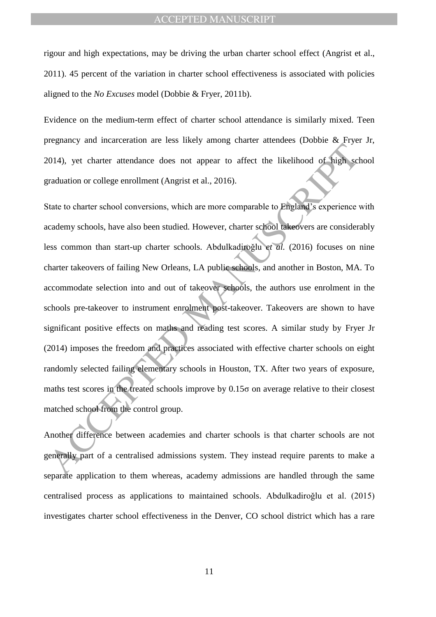rigour and high expectations, may be driving the urban charter school effect (Angrist et al., 2011). 45 percent of the variation in charter school effectiveness is associated with policies aligned to the *No Excuses* model (Dobbie & Fryer, 2011b).

Evidence on the medium-term effect of charter school attendance is similarly mixed. Teen pregnancy and incarceration are less likely among charter attendees (Dobbie & Fryer Jr, 2014), yet charter attendance does not appear to affect the likelihood of high school graduation or college enrollment (Angrist et al., 2016).

Expansive and the manufacturity and the manufacturity contribution of high set and to the method of the strellation or college enrollment (Angrist et al., 2016).<br>
State to charter school conversions, which are more compar State to charter school conversions, which are more comparable to England's experience with academy schools, have also been studied. However, charter school takeovers are considerably less common than start-up charter schools. Abdulkadiroğlu et al. (2016) focuses on nine charter takeovers of failing New Orleans, LA public schools, and another in Boston, MA. To accommodate selection into and out of takeover schools, the authors use enrolment in the schools pre-takeover to instrument enrolment post-takeover. Takeovers are shown to have significant positive effects on maths and reading test scores. A similar study by Fryer Jr (2014) imposes the freedom and practices associated with effective charter schools on eight randomly selected failing elementary schools in Houston, TX. After two years of exposure, maths test scores in the treated schools improve by 0.15σ on average relative to their closest matched school from the control group.

Another difference between academies and charter schools is that charter schools are not generally part of a centralised admissions system. They instead require parents to make a separate application to them whereas, academy admissions are handled through the same centralised process as applications to maintained schools. Abdulkadiroǧlu et al. (2015) investigates charter school effectiveness in the Denver, CO school district which has a rare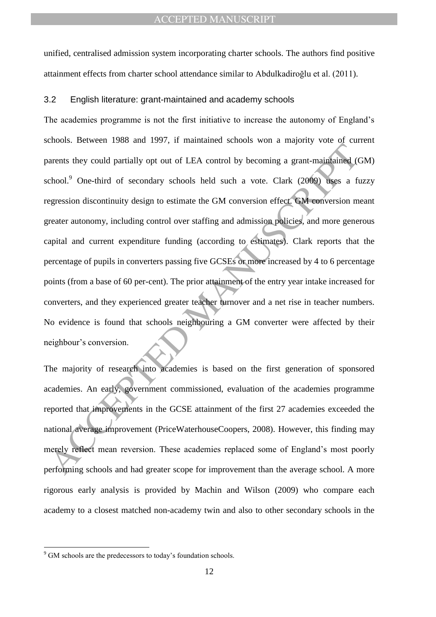unified, centralised admission system incorporating charter schools. The authors find positive attainment effects from charter school attendance similar to Abdulkadiroğlu et al. (2011).

#### 3.2 English literature: grant-maintained and academy schools

The material of the material of the Manuscript of the SCE attainment of the first conduct of secondary schools held such a vote. Clark (2009) uses a find of secondary schools held such a vote. Clark (2009) uses a find oper The academies programme is not the first initiative to increase the autonomy of England"s schools. Between 1988 and 1997, if maintained schools won a majority vote of current parents they could partially opt out of LEA control by becoming a grant-maintained (GM) school.<sup>9</sup> One-third of secondary schools held such a vote. Clark (2009) uses a fuzzy regression discontinuity design to estimate the GM conversion effect. GM conversion meant greater autonomy, including control over staffing and admission policies, and more generous capital and current expenditure funding (according to estimates). Clark reports that the percentage of pupils in converters passing five GCSEs or more increased by 4 to 6 percentage points (from a base of 60 per-cent). The prior attainment of the entry year intake increased for converters, and they experienced greater teacher turnover and a net rise in teacher numbers. No evidence is found that schools neighbouring a GM converter were affected by their neighbour"s conversion.

The majority of research into academies is based on the first generation of sponsored academies. An early, government commissioned, evaluation of the academies programme reported that improvements in the GCSE attainment of the first 27 academies exceeded the national average improvement (PriceWaterhouseCoopers, 2008). However, this finding may merely reflect mean reversion. These academies replaced some of England"s most poorly performing schools and had greater scope for improvement than the average school. A more rigorous early analysis is provided by Machin and Wilson (2009) who compare each academy to a closest matched non-academy twin and also to other secondary schools in the

<sup>&</sup>lt;sup>9</sup> GM schools are the predecessors to today's foundation schools.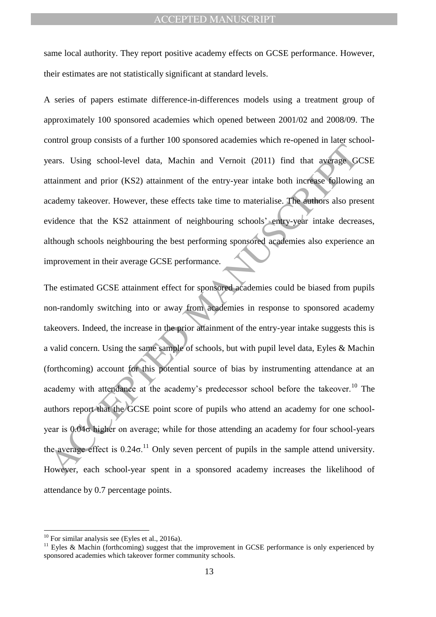same local authority. They report positive academy effects on GCSE performance. However, their estimates are not statistically significant at standard levels.

A series of papers estimate difference-in-differences models using a treatment group of approximately 100 sponsored academies which opened between 2001/02 and 2008/09. The control group consists of a further 100 sponsored academies which re-opened in later schoolyears. Using school-level data, Machin and Vernoit (2011) find that average GCSE attainment and prior (KS2) attainment of the entry-year intake both increase following an academy takeover. However, these effects take time to materialise. The authors also present evidence that the KS2 attainment of neighbouring schools' entry-year intake decreases, although schools neighbouring the best performing sponsored academies also experience an improvement in their average GCSE performance.

The agent of this point and the matter of the matter of the asset of the average G<br>
ditainment and prior (KS2) attainment of the entry-year intake both increase following<br>
ditainment and prior (KS2) attainment of the entr The estimated GCSE attainment effect for sponsored academies could be biased from pupils non-randomly switching into or away from academies in response to sponsored academy takeovers. Indeed, the increase in the prior attainment of the entry-year intake suggests this is a valid concern. Using the same sample of schools, but with pupil level data, Eyles & Machin (forthcoming) account for this potential source of bias by instrumenting attendance at an academy with attendance at the academy's predecessor school before the takeover.<sup>10</sup> The authors report that the GCSE point score of pupils who attend an academy for one schoolyear is 0.04σ higher on average; while for those attending an academy for four school-years the average effect is  $0.24\sigma^{11}$  Only seven percent of pupils in the sample attend university. However, each school-year spent in a sponsored academy increases the likelihood of attendance by 0.7 percentage points.

 $10$  For similar analysis see (Eyles et al., 2016a).

<sup>&</sup>lt;sup>11</sup> Eyles & Machin (forthcoming) suggest that the improvement in GCSE performance is only experienced by sponsored academies which takeover former community schools.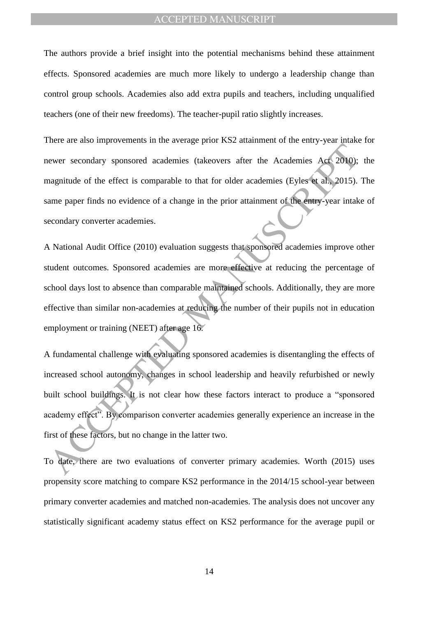The authors provide a brief insight into the potential mechanisms behind these attainment effects. Sponsored academies are much more likely to undergo a leadership change than control group schools. Academies also add extra pupils and teachers, including unqualified teachers (one of their new freedoms). The teacher-pupil ratio slightly increases.

There are also improvements in the average prior KS2 attainment of the entry-year intake for newer secondary sponsored academies (takeovers after the Academies Act 2010); the magnitude of the effect is comparable to that for older academies (Eyles et al., 2015). The same paper finds no evidence of a change in the prior attainment of the entry-year intake of secondary converter academies.

A National Audit Office (2010) evaluation suggests that sponsored academies improve other student outcomes. Sponsored academies are more effective at reducing the percentage of school days lost to absence than comparable maintained schools. Additionally, they are more effective than similar non-academies at reducing the number of their pupils not in education employment or training (NEET) after age 16.

ACCEPTED MANUSCRIPT A fundamental challenge with evaluating sponsored academies is disentangling the effects of increased school autonomy, changes in school leadership and heavily refurbished or newly built school buildings. It is not clear how these factors interact to produce a "sponsored academy effect". By comparison converter academies generally experience an increase in the first of these factors, but no change in the latter two.

To date, there are two evaluations of converter primary academies. Worth (2015) uses propensity score matching to compare KS2 performance in the 2014/15 school-year between primary converter academies and matched non-academies. The analysis does not uncover any statistically significant academy status effect on KS2 performance for the average pupil or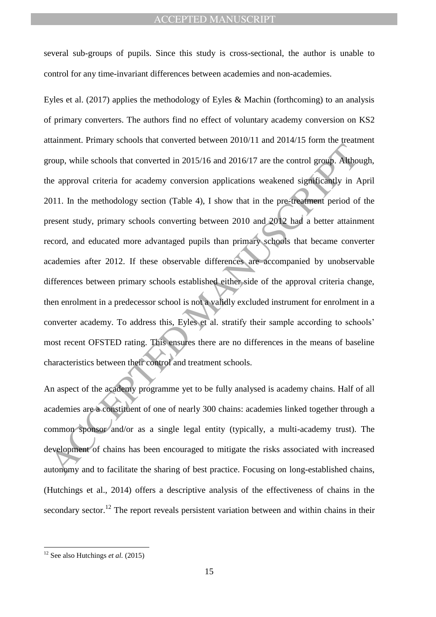several sub-groups of pupils. Since this study is cross-sectional, the author is unable to control for any time-invariant differences between academies and non-academies.

The strength and the strength of the strength of the strength of the strength of the strength of the strength of the strength of the approval criteria for academy conversion applications weakened significantly in *P* (1011 Eyles et al. (2017) applies the methodology of Eyles & Machin (forthcoming) to an analysis of primary converters. The authors find no effect of voluntary academy conversion on KS2 attainment. Primary schools that converted between 2010/11 and 2014/15 form the treatment group, while schools that converted in 2015/16 and 2016/17 are the control group. Although, the approval criteria for academy conversion applications weakened significantly in April 2011. In the methodology section (Table 4), I show that in the pre-treatment period of the present study, primary schools converting between 2010 and 2012 had a better attainment record, and educated more advantaged pupils than primary schools that became converter academies after 2012. If these observable differences are accompanied by unobservable differences between primary schools established either side of the approval criteria change, then enrolment in a predecessor school is not a validly excluded instrument for enrolment in a converter academy. To address this, Eyles et al. stratify their sample according to schools" most recent OFSTED rating. This ensures there are no differences in the means of baseline characteristics between their control and treatment schools.

An aspect of the academy programme yet to be fully analysed is academy chains. Half of all academies are a constituent of one of nearly 300 chains: academies linked together through a common sponsor and/or as a single legal entity (typically, a multi-academy trust). The development of chains has been encouraged to mitigate the risks associated with increased autonomy and to facilitate the sharing of best practice. Focusing on long-established chains, (Hutchings et al., 2014) offers a descriptive analysis of the effectiveness of chains in the secondary sector.<sup>12</sup> The report reveals persistent variation between and within chains in their

<sup>12</sup> See also Hutchings *et al.* (2015)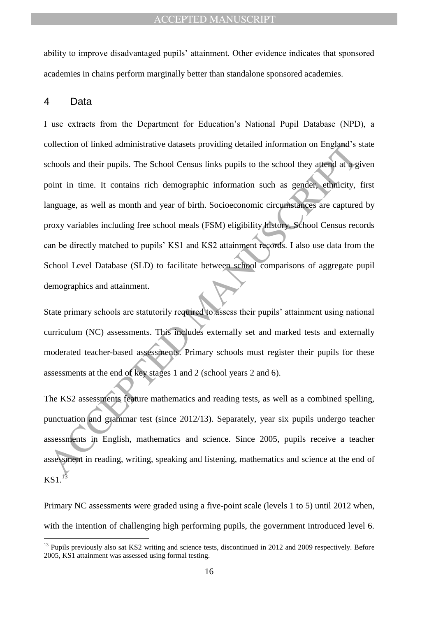ability to improve disadvantaged pupils" attainment. Other evidence indicates that sponsored academies in chains perform marginally better than standalone sponsored academies.

## 4 Data

 $\overline{a}$ 

collection of linked administrative datasets providing detailed information on England's vehools and their pupils. The School Census links pupils to the school they attend at a gender ethnicity, anguage, as well as month a I use extracts from the Department for Education"s National Pupil Database (NPD), a collection of linked administrative datasets providing detailed information on England"s state schools and their pupils. The School Census links pupils to the school they attend at a given point in time. It contains rich demographic information such as gender, ethnicity, first language, as well as month and year of birth. Socioeconomic circumstances are captured by proxy variables including free school meals (FSM) eligibility history. School Census records can be directly matched to pupils" KS1 and KS2 attainment records. I also use data from the School Level Database (SLD) to facilitate between school comparisons of aggregate pupil demographics and attainment.

State primary schools are statutorily required to assess their pupils' attainment using national curriculum (NC) assessments. This includes externally set and marked tests and externally moderated teacher-based assessments. Primary schools must register their pupils for these assessments at the end of key stages 1 and 2 (school years 2 and 6).

The KS2 assessments feature mathematics and reading tests, as well as a combined spelling, punctuation and grammar test (since 2012/13). Separately, year six pupils undergo teacher assessments in English, mathematics and science. Since 2005, pupils receive a teacher assessment in reading, writing, speaking and listening, mathematics and science at the end of  $KS1<sup>13</sup>$ 

Primary NC assessments were graded using a five-point scale (levels 1 to 5) until 2012 when, with the intention of challenging high performing pupils, the government introduced level 6.

<sup>&</sup>lt;sup>13</sup> Pupils previously also sat KS2 writing and science tests, discontinued in 2012 and 2009 respectively. Before 2005, KS1 attainment was assessed using formal testing.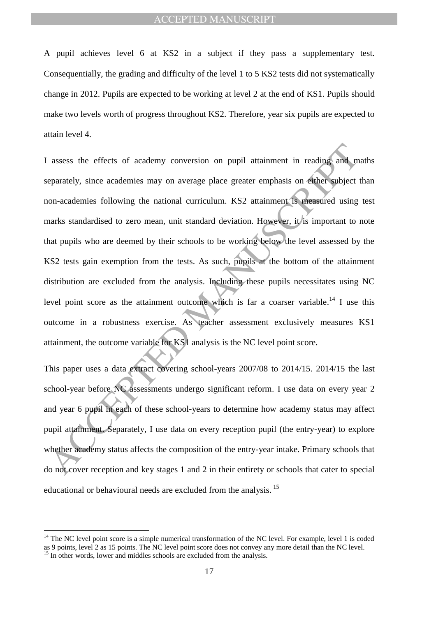A pupil achieves level 6 at KS2 in a subject if they pass a supplementary test. Consequentially, the grading and difficulty of the level 1 to 5 KS2 tests did not systematically change in 2012. Pupils are expected to be working at level 2 at the end of KS1. Pupils should make two levels worth of progress throughout KS2. Therefore, year six pupils are expected to attain level 4.

assess the effects of academy conversion on pupil attainment in reading and m<br>eparately, since academies nay on average place greater emphasis on either subject to<br>no-academies following the national curriculum. KS2 attai I assess the effects of academy conversion on pupil attainment in reading and maths separately, since academies may on average place greater emphasis on either subject than non-academies following the national curriculum. KS2 attainment is measured using test marks standardised to zero mean, unit standard deviation. However, it is important to note that pupils who are deemed by their schools to be working below the level assessed by the KS2 tests gain exemption from the tests. As such, pupils at the bottom of the attainment distribution are excluded from the analysis. Including these pupils necessitates using NC level point score as the attainment outcome which is far a coarser variable.<sup>14</sup> I use this outcome in a robustness exercise. As teacher assessment exclusively measures KS1 attainment, the outcome variable for KS1 analysis is the NC level point score.

This paper uses a data extract covering school-years 2007/08 to 2014/15. 2014/15 the last school-year before NC assessments undergo significant reform. I use data on every year 2 and year 6 pupil in each of these school-years to determine how academy status may affect pupil attainment. Separately, I use data on every reception pupil (the entry-year) to explore whether academy status affects the composition of the entry-year intake. Primary schools that do not cover reception and key stages 1 and 2 in their entirety or schools that cater to special educational or behavioural needs are excluded from the analysis.<sup>15</sup>

 $14$  The NC level point score is a simple numerical transformation of the NC level. For example, level 1 is coded as 9 points, level 2 as 15 points. The NC level point score does not convey any more detail than the NC level.

 $15$  In other words, lower and middles schools are excluded from the analysis.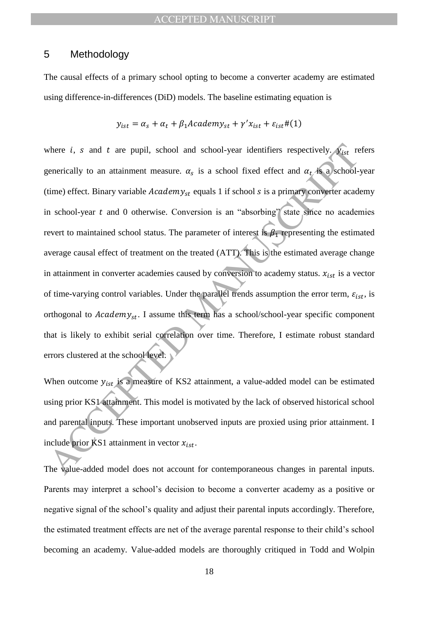## 5 Methodology

The causal effects of a primary school opting to become a converter academy are estimated using difference-in-differences (DiD) models. The baseline estimating equation is

$$
y_{ist} = \alpha_s + \alpha_t + \beta_1 A cademy_{st} + \gamma' x_{ist} + \varepsilon_{ist} \# (1)
$$

where *i*, *s* and *t* are pupil, school and school-year identifiers respectively.  $\oint_{\Omega_{\text{R}}}\rho_{\text{R}}$  requerically to an attainment measure.  $\alpha_s$  is a school fixed effect and  $\alpha_t$  is a  $\infty$  school-time) effect. Bina where *i*, *s* and *t* are pupil, school and school-year identifiers respectively.  $y_{ist}$  refers generically to an attainment measure.  $\alpha_s$  is a school fixed effect and  $\alpha_t$  is a school-year (time) effect. Binary variable  $Academy_{st}$  equals 1 if school s is a primary converter academy in school-year  $t$  and  $0$  otherwise. Conversion is an "absorbing" state since no academies revert to maintained school status. The parameter of interest is  $\beta_1$  representing the estimated average causal effect of treatment on the treated (ATT). This is the estimated average change in attainment in converter academies caused by conversion to academy status.  $x_{ist}$  is a vector of time-varying control variables. Under the parallel trends assumption the error term,  $\varepsilon_{ist}$ , is orthogonal to  $Academy_{st}$ . I assume this term has a school/school-year specific component that is likely to exhibit serial correlation over time. Therefore, I estimate robust standard errors clustered at the school level.

When outcome  $y_{ist}$  is a measure of KS2 attainment, a value-added model can be estimated using prior KS1 attainment. This model is motivated by the lack of observed historical school and parental inputs. These important unobserved inputs are proxied using prior attainment. I include prior KS1 attainment in vector  $x_{\text{ist}}$ .

The value-added model does not account for contemporaneous changes in parental inputs. Parents may interpret a school"s decision to become a converter academy as a positive or negative signal of the school"s quality and adjust their parental inputs accordingly. Therefore, the estimated treatment effects are net of the average parental response to their child"s school becoming an academy. Value-added models are thoroughly critiqued in Todd and Wolpin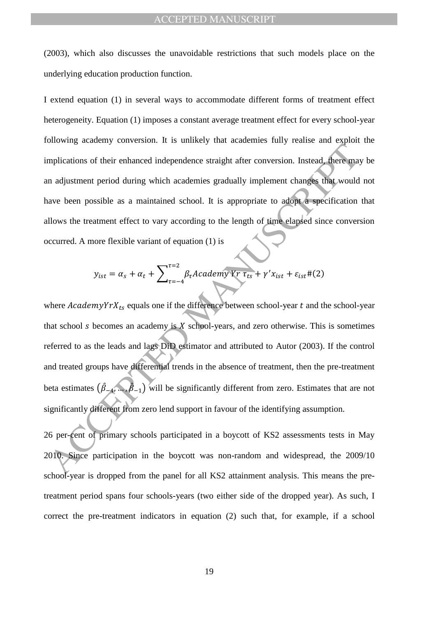(2003), which also discusses the unavoidable restrictions that such models place on the underlying education production function.

I extend equation (1) in several ways to accommodate different forms of treatment effect heterogeneity. Equation (1) imposes a constant average treatment effect for every school-year following academy conversion. It is unlikely that academies fully realise and exploit the implications of their enhanced independence straight after conversion. Instead, there may be an adjustment period during which academies gradually implement changes that would not have been possible as a maintained school. It is appropriate to adopt a specification that allows the treatment effect to vary according to the length of time elapsed since conversion occurred. A more flexible variant of equation (1) is

$$
y_{ist} = \alpha_s + \alpha_t + \sum_{\tau=-4}^{\tau=2} \beta_{\tau} A cademy Yr \tau_{ts} + \gamma' x_{ist} + \varepsilon_{ist} \#(2)
$$

Analogue and interact in a matter of the matter of the section and distinct the section of their enhanced independence straight after conversion. Instead, there an<br>a adjustment period during which academies gradually impl where  $AcademyYrX_{ts}$  equals one if the difference between school-year t and the school-year that school  $s$  becomes an academy is  $X$  school-years, and zero otherwise. This is sometimes referred to as the leads and lags DiD estimator and attributed to Autor (2003). If the control and treated groups have differential trends in the absence of treatment, then the pre-treatment beta estimates  $(\hat{\beta}_{-4},...,\hat{\beta}_{-1})$  will be significantly different from zero. Estimates that are not significantly different from zero lend support in favour of the identifying assumption.

26 per-cent of primary schools participated in a boycott of KS2 assessments tests in May 2010. Since participation in the boycott was non-random and widespread, the 2009/10 school-year is dropped from the panel for all KS2 attainment analysis. This means the pretreatment period spans four schools-years (two either side of the dropped year). As such, I correct the pre-treatment indicators in equation (2) such that, for example, if a school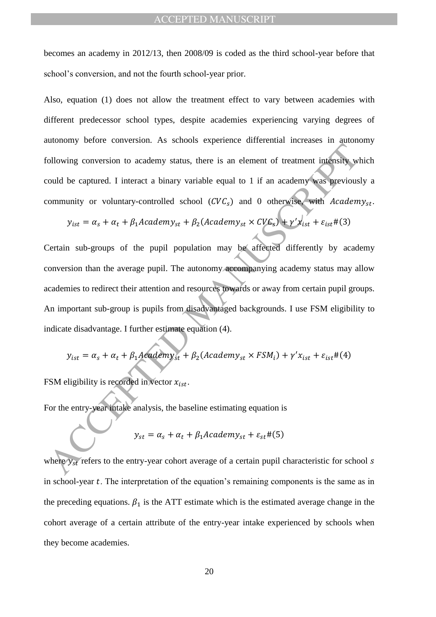becomes an academy in 2012/13, then 2008/09 is coded as the third school-year before that school"s conversion, and not the fourth school-year prior.

Also, equation (1) does not allow the treatment effect to vary between academies with different predecessor school types, despite academies experiencing varying degrees of autonomy before conversion. As schools experience differential increases in autonomy following conversion to academy status, there is an element of treatment intensity which could be captured. I interact a binary variable equal to 1 if an academy was previously a community or voluntary-controlled school  $(CVC<sub>s</sub>)$  and 0 otherwise, with  $Academy<sub>st</sub>$ .

$$
y_{ist} = \alpha_s + \alpha_t + \beta_1 Academy_{st} + \beta_2(Academy_{st} \times CVC_s) + \gamma'x_{ist} + \varepsilon_{ist} \#(3)
$$

and the contentral of the state of the state of the entries of the entries of the content interests of the content of the state of the state of the state of the state of the state of the state of the state of the state of Certain sub-groups of the pupil population may be affected differently by academy conversion than the average pupil. The autonomy accompanying academy status may allow academies to redirect their attention and resources towards or away from certain pupil groups. An important sub-group is pupils from disadvantaged backgrounds. I use FSM eligibility to indicate disadvantage. I further estimate equation (4).

$$
y_{ist} = \alpha_s + \alpha_t + \beta_1 Academy_{st} + \beta_2(Academy_{st} \times FSM_i) + \gamma' x_{ist} + \varepsilon_{ist} \# (4)
$$

FSM eligibility is recorded in vector  $x_{i \text{st}}$ .

For the entry-year intake analysis, the baseline estimating equation is

$$
y_{st} = \alpha_s + \alpha_t + \beta_1 Academy_{st} + \varepsilon_{st} \# (5)
$$

where  $y_{st}$  refers to the entry-year cohort average of a certain pupil characteristic for school s in school-year  $t$ . The interpretation of the equation's remaining components is the same as in the preceding equations.  $\beta_1$  is the ATT estimate which is the estimated average change in the cohort average of a certain attribute of the entry-year intake experienced by schools when they become academies.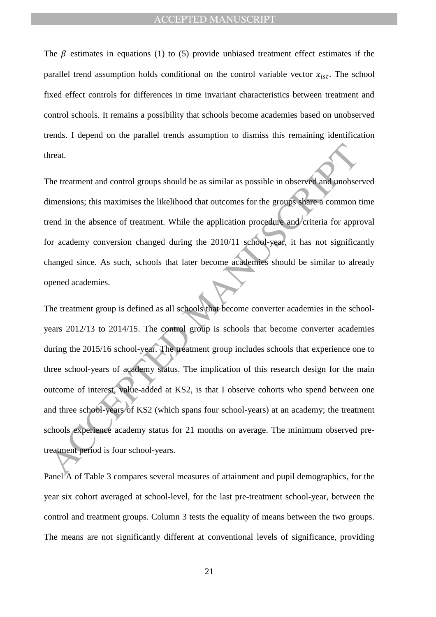The  $\beta$  estimates in equations (1) to (5) provide unbiased treatment effect estimates if the parallel trend assumption holds conditional on the control variable vector  $x_{ist}$ . The school fixed effect controls for differences in time invariant characteristics between treatment and control schools. It remains a possibility that schools become academies based on unobserved trends. I depend on the parallel trends assumption to dismiss this remaining identification threat.

The treatment and control groups should be as similar as possible in observed and unobserved dimensions; this maximises the likelihood that outcomes for the groups share a common time trend in the absence of treatment. While the application procedure and criteria for approval for academy conversion changed during the 2010/11 school-year, it has not significantly changed since. As such, schools that later become academies should be similar to already opened academies.

the treatment and control groups should be as similar as possible in observed and unobserved measures timensions; this maximises the likelihood that outcomes for the groups share a common trend in the absence of treatment. The treatment group is defined as all schools that become converter academies in the schoolyears 2012/13 to 2014/15. The control group is schools that become converter academies during the 2015/16 school-year. The treatment group includes schools that experience one to three school-years of academy status. The implication of this research design for the main outcome of interest, value-added at KS2, is that I observe cohorts who spend between one and three school-years of KS2 (which spans four school-years) at an academy; the treatment schools experience academy status for 21 months on average. The minimum observed pretreatment period is four school-years.

Panel A of Table 3 compares several measures of attainment and pupil demographics, for the year six cohort averaged at school-level, for the last pre-treatment school-year, between the control and treatment groups. Column 3 tests the equality of means between the two groups. The means are not significantly different at conventional levels of significance, providing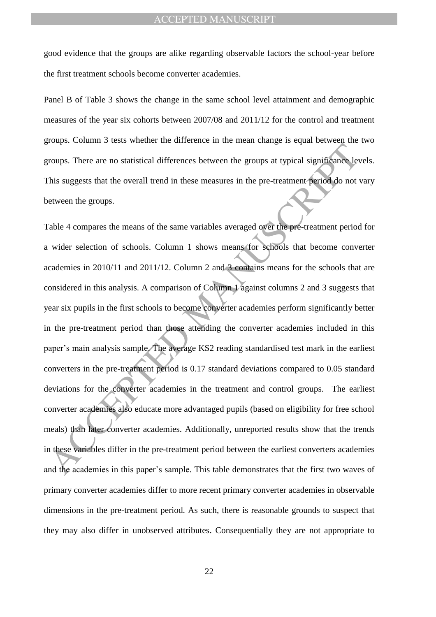good evidence that the groups are alike regarding observable factors the school-year before the first treatment schools become converter academies.

Panel B of Table 3 shows the change in the same school level attainment and demographic measures of the year six cohorts between 2007/08 and 2011/12 for the control and treatment groups. Column 3 tests whether the difference in the mean change is equal between the two groups. There are no statistical differences between the groups at typical significance levels. This suggests that the overall trend in these measures in the pre-treatment period do not vary between the groups.

From the manufacturism and anti-<br>
Transmission of the state of the state of the state of the state of the state<br>
This suggests that the overall trend in these measures in the pre-treatment period do not<br>
This suggests that Table 4 compares the means of the same variables averaged over the pre-treatment period for a wider selection of schools. Column 1 shows means for schools that become converter academies in 2010/11 and 2011/12. Column 2 and 3 contains means for the schools that are considered in this analysis. A comparison of Column 1 against columns 2 and 3 suggests that year six pupils in the first schools to become converter academies perform significantly better in the pre-treatment period than those attending the converter academies included in this paper"s main analysis sample. The average KS2 reading standardised test mark in the earliest converters in the pre-treatment period is 0.17 standard deviations compared to 0.05 standard deviations for the converter academies in the treatment and control groups. The earliest converter academies also educate more advantaged pupils (based on eligibility for free school meals) than later converter academies. Additionally, unreported results show that the trends in these variables differ in the pre-treatment period between the earliest converters academies and the academies in this paper's sample. This table demonstrates that the first two waves of primary converter academies differ to more recent primary converter academies in observable dimensions in the pre-treatment period. As such, there is reasonable grounds to suspect that they may also differ in unobserved attributes. Consequentially they are not appropriate to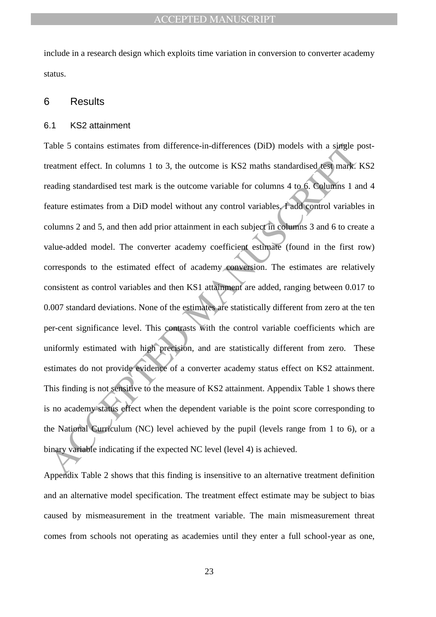include in a research design which exploits time variation in conversion to converter academy status.

#### 6 Results

#### 6.1 KS2 attainment

Table 5 contains estimates from difference-in-differences (DID) models with a single preatment effect. In columns 1 to 3, the outcome is KS2 maths standardised test mark is ending standardised test mark is the outcome vari Table 5 contains estimates from difference-in-differences (DiD) models with a single posttreatment effect. In columns 1 to 3, the outcome is KS2 maths standardised test mark. KS2 reading standardised test mark is the outcome variable for columns 4 to 6. Columns 1 and 4 feature estimates from a DiD model without any control variables. I add control variables in columns 2 and 5, and then add prior attainment in each subject in columns 3 and 6 to create a value-added model. The converter academy coefficient estimate (found in the first row) corresponds to the estimated effect of academy conversion. The estimates are relatively consistent as control variables and then KS1 attainment are added, ranging between 0.017 to 0.007 standard deviations. None of the estimates are statistically different from zero at the ten per-cent significance level. This contrasts with the control variable coefficients which are uniformly estimated with high precision, and are statistically different from zero. These estimates do not provide evidence of a converter academy status effect on KS2 attainment. This finding is not sensitive to the measure of KS2 attainment. Appendix Table 1 shows there is no academy status effect when the dependent variable is the point score corresponding to the National Curriculum (NC) level achieved by the pupil (levels range from 1 to 6), or a binary variable indicating if the expected NC level (level 4) is achieved.

Appendix Table 2 shows that this finding is insensitive to an alternative treatment definition and an alternative model specification. The treatment effect estimate may be subject to bias caused by mismeasurement in the treatment variable. The main mismeasurement threat comes from schools not operating as academies until they enter a full school-year as one,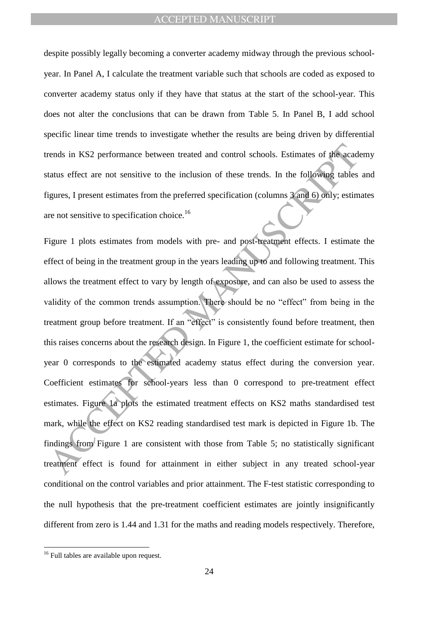despite possibly legally becoming a converter academy midway through the previous schoolyear. In Panel A, I calculate the treatment variable such that schools are coded as exposed to converter academy status only if they have that status at the start of the school-year. This does not alter the conclusions that can be drawn from Table 5. In Panel B, I add school specific linear time trends to investigate whether the results are being driven by differential trends in KS2 performance between treated and control schools. Estimates of the academy status effect are not sensitive to the inclusion of these trends. In the following tables and figures, I present estimates from the preferred specification (columns 3 and 6) only; estimates are not sensitive to specification choice.<sup>16</sup>

rends in KS2 performance between treated and control schools. Estimates of the acade<br>tatus effect are not sensitive to the inclusion of these trends. In the following tables<br>tatus effect are not sensitive to the inclusion Figure 1 plots estimates from models with pre- and post-treatment effects. I estimate the effect of being in the treatment group in the years leading up to and following treatment. This allows the treatment effect to vary by length of exposure, and can also be used to assess the validity of the common trends assumption. There should be no "effect" from being in the treatment group before treatment. If an "effect" is consistently found before treatment, then this raises concerns about the research design. In Figure 1, the coefficient estimate for schoolyear 0 corresponds to the estimated academy status effect during the conversion year. Coefficient estimates for school-years less than 0 correspond to pre-treatment effect estimates. Figure 1a plots the estimated treatment effects on KS2 maths standardised test mark, while the effect on KS2 reading standardised test mark is depicted in Figure 1b. The findings from Figure 1 are consistent with those from Table 5; no statistically significant treatment effect is found for attainment in either subject in any treated school-year conditional on the control variables and prior attainment. The F-test statistic corresponding to the null hypothesis that the pre-treatment coefficient estimates are jointly insignificantly different from zero is 1.44 and 1.31 for the maths and reading models respectively. Therefore,

<sup>&</sup>lt;sup>16</sup> Full tables are available upon request.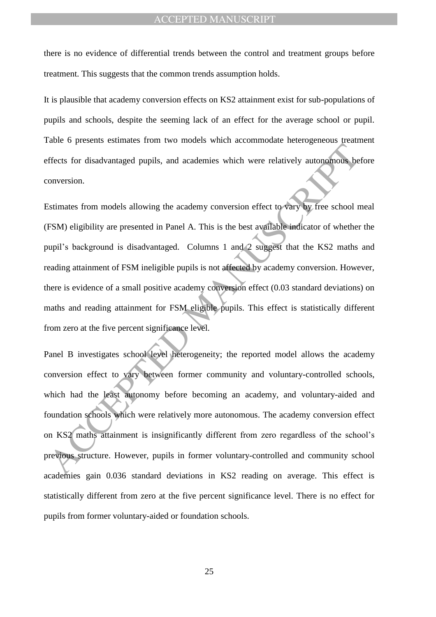there is no evidence of differential trends between the control and treatment groups before treatment. This suggests that the common trends assumption holds.

It is plausible that academy conversion effects on KS2 attainment exist for sub-populations of pupils and schools, despite the seeming lack of an effect for the average school or pupil. Table 6 presents estimates from two models which accommodate heterogeneous treatment effects for disadvantaged pupils, and academies which were relatively autonomous before conversion.

The Process of disadvantaged pupils, and academies which were relatively autonomous be-<br>noversion.<br>
Estimates from models allowing the academy conversion effect to vary by free school r<br>
ESM) eligibility are presented in P Estimates from models allowing the academy conversion effect to vary by free school meal (FSM) eligibility are presented in Panel A. This is the best available indicator of whether the pupil"s background is disadvantaged. Columns 1 and 2 suggest that the KS2 maths and reading attainment of FSM ineligible pupils is not affected by academy conversion. However, there is evidence of a small positive academy conversion effect (0.03 standard deviations) on maths and reading attainment for FSM eligible pupils. This effect is statistically different from zero at the five percent significance level.

Panel B investigates school level heterogeneity; the reported model allows the academy conversion effect to vary between former community and voluntary-controlled schools, which had the least autonomy before becoming an academy, and voluntary-aided and foundation schools which were relatively more autonomous. The academy conversion effect on KS2 maths attainment is insignificantly different from zero regardless of the school"s previous structure. However, pupils in former voluntary-controlled and community school academies gain 0.036 standard deviations in KS2 reading on average. This effect is statistically different from zero at the five percent significance level. There is no effect for pupils from former voluntary-aided or foundation schools.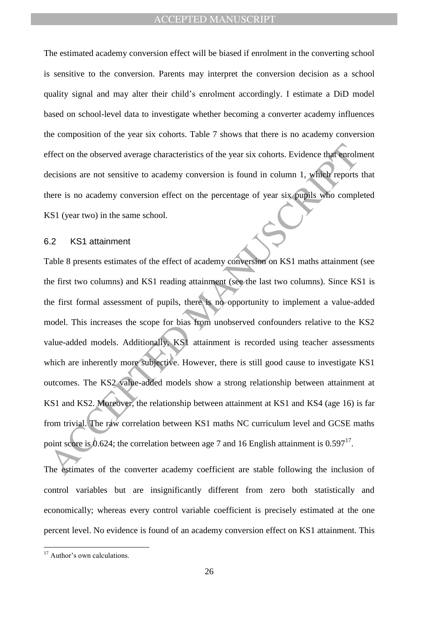The estimated academy conversion effect will be biased if enrolment in the converting school is sensitive to the conversion. Parents may interpret the conversion decision as a school quality signal and may alter their child"s enrolment accordingly. I estimate a DiD model based on school-level data to investigate whether becoming a converter academy influences the composition of the year six cohorts. Table 7 shows that there is no academy conversion effect on the observed average characteristics of the year six cohorts. Evidence that enrolment decisions are not sensitive to academy conversion is found in column 1, which reports that there is no academy conversion effect on the percentage of year six pupils who completed KS1 (year two) in the same school.

#### 6.2 KS1 attainment

effect on the observed average characteristics of the year six cohorts. Evidence that early elections are not sensitive to academy conversion is found in column 1, which reports<br>decisions are not sensitive to academy conv Table 8 presents estimates of the effect of academy conversion on KS1 maths attainment (see the first two columns) and KS1 reading attainment (see the last two columns). Since KS1 is the first formal assessment of pupils, there is no opportunity to implement a value-added model. This increases the scope for bias from unobserved confounders relative to the KS2 value-added models. Additionally, KS1 attainment is recorded using teacher assessments which are inherently more subjective. However, there is still good cause to investigate KS1 outcomes. The KS2 value-added models show a strong relationship between attainment at KS1 and KS2. Moreover, the relationship between attainment at KS1 and KS4 (age 16) is far from trivial. The raw correlation between KS1 maths NC curriculum level and GCSE maths point score is 0.624; the correlation between age 7 and 16 English attainment is  $0.597^{17}$ .

The estimates of the converter academy coefficient are stable following the inclusion of control variables but are insignificantly different from zero both statistically and economically; whereas every control variable coefficient is precisely estimated at the one percent level. No evidence is found of an academy conversion effect on KS1 attainment. This

<sup>&</sup>lt;sup>17</sup> Author's own calculations.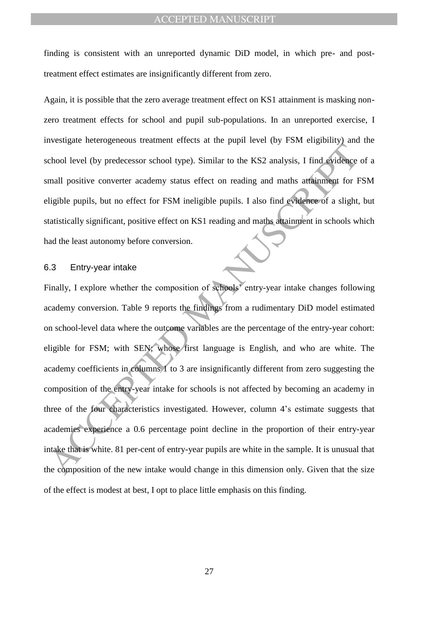finding is consistent with an unreported dynamic DiD model, in which pre- and posttreatment effect estimates are insignificantly different from zero.

Again, it is possible that the zero average treatment effect on KS1 attainment is masking nonzero treatment effects for school and pupil sub-populations. In an unreported exercise, I investigate heterogeneous treatment effects at the pupil level (by FSM eligibility) and the school level (by predecessor school type). Similar to the KS2 analysis, I find evidence of a small positive converter academy status effect on reading and maths attainment for FSM eligible pupils, but no effect for FSM ineligible pupils. I also find evidence of a slight, but statistically significant, positive effect on KS1 reading and maths attainment in schools which had the least autonomy before conversion.

#### 6.3 Entry-year intake

Accelering the material of the processor school spee). Similar to the KS2 analysis, I find evidence<br>
anall positive converter academy status effect on reading and maths attainment for E<br>
digible pupils, but no effect for F Finally, I explore whether the composition of schools<sup>'</sup> entry-year intake changes following academy conversion. Table 9 reports the findings from a rudimentary DiD model estimated on school-level data where the outcome variables are the percentage of the entry-year cohort: eligible for FSM; with SEN; whose first language is English, and who are white. The academy coefficients in columns 1 to 3 are insignificantly different from zero suggesting the composition of the entry-year intake for schools is not affected by becoming an academy in three of the four characteristics investigated. However, column 4"s estimate suggests that academies experience a 0.6 percentage point decline in the proportion of their entry-year intake that is white. 81 per-cent of entry-year pupils are white in the sample. It is unusual that the composition of the new intake would change in this dimension only. Given that the size of the effect is modest at best, I opt to place little emphasis on this finding.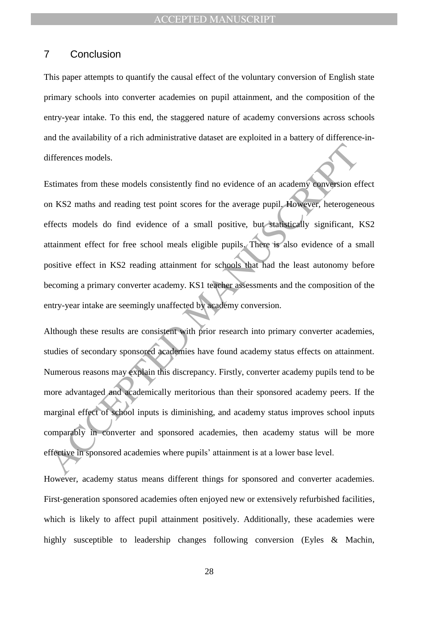## 7 Conclusion

This paper attempts to quantify the causal effect of the voluntary conversion of English state primary schools into converter academies on pupil attainment, and the composition of the entry-year intake. To this end, the staggered nature of academy conversions across schools and the availability of a rich administrative dataset are exploited in a battery of difference-indifferences models.

differences models.<br>
Satimates from these models consistently find no evidence of an academy conversion et<br>
MASCE maths and reading test point scores for the average pupil. However, heterogene<br>
effects models do find evide Estimates from these models consistently find no evidence of an academy conversion effect on KS2 maths and reading test point scores for the average pupil. However, heterogeneous effects models do find evidence of a small positive, but statistically significant, KS2 attainment effect for free school meals eligible pupils. There is also evidence of a small positive effect in KS2 reading attainment for schools that had the least autonomy before becoming a primary converter academy. KS1 teacher assessments and the composition of the entry-year intake are seemingly unaffected by academy conversion.

Although these results are consistent with prior research into primary converter academies, studies of secondary sponsored academies have found academy status effects on attainment. Numerous reasons may explain this discrepancy. Firstly, converter academy pupils tend to be more advantaged and academically meritorious than their sponsored academy peers. If the marginal effect of school inputs is diminishing, and academy status improves school inputs comparably in converter and sponsored academies, then academy status will be more effective in sponsored academies where pupils" attainment is at a lower base level.

However, academy status means different things for sponsored and converter academies. First-generation sponsored academies often enjoyed new or extensively refurbished facilities, which is likely to affect pupil attainment positively. Additionally, these academies were highly susceptible to leadership changes following conversion (Eyles & Machin,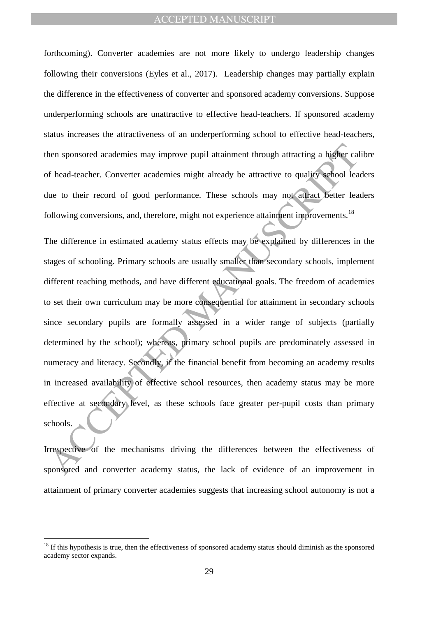forthcoming). Converter academies are not more likely to undergo leadership changes following their conversions (Eyles et al., 2017). Leadership changes may partially explain the difference in the effectiveness of converter and sponsored academy conversions. Suppose underperforming schools are unattractive to effective head-teachers. If sponsored academy status increases the attractiveness of an underperforming school to effective head-teachers, then sponsored academies may improve pupil attainment through attracting a higher calibre of head-teacher. Converter academies might already be attractive to quality school leaders due to their record of good performance. These schools may not attract better leaders following conversions, and, therefore, might not experience attainment improvements.<sup>18</sup>

then sponsored academies may improve pupil attainment through attracting a higher cal<br>the of head-teacher. Converter academies might already be attractive to quality school lea<br>tue to their record of good performance. Thes The difference in estimated academy status effects may be explained by differences in the stages of schooling. Primary schools are usually smaller than secondary schools, implement different teaching methods, and have different educational goals. The freedom of academies to set their own curriculum may be more consequential for attainment in secondary schools since secondary pupils are formally assessed in a wider range of subjects (partially determined by the school); whereas, primary school pupils are predominately assessed in numeracy and literacy. Secondly, if the financial benefit from becoming an academy results in increased availability of effective school resources, then academy status may be more effective at secondary level, as these schools face greater per-pupil costs than primary schools.

Irrespective of the mechanisms driving the differences between the effectiveness of sponsored and converter academy status, the lack of evidence of an improvement in attainment of primary converter academies suggests that increasing school autonomy is not a

 $18$  If this hypothesis is true, then the effectiveness of sponsored academy status should diminish as the sponsored academy sector expands.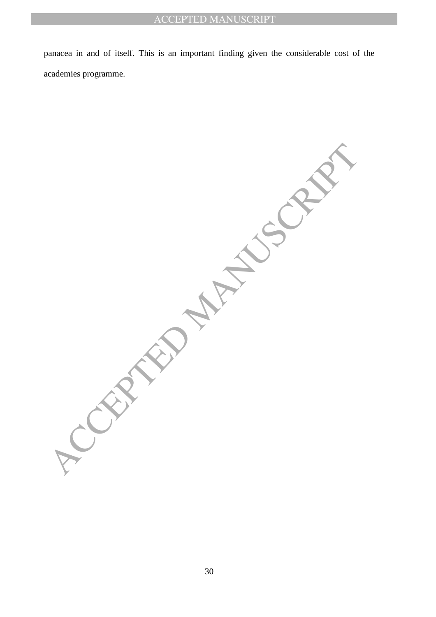panacea in and of itself. This is an important finding given the considerable cost of the academies programme.

**CEPTED MANUSCRIPT**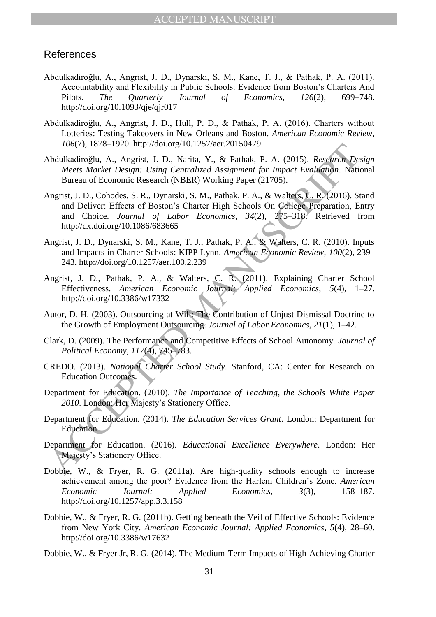## References

- Abdulkadiroğlu, A., Angrist, J. D., Dynarski, S. M., Kane, T. J., & Pathak, P. A. (2011). Accountability and Flexibility in Public Schools: Evidence from Boston"s Charters And Pilots. *The Quarterly Journal of Economics*, *126*(2), 699–748. http://doi.org/10.1093/qje/qjr017
- Abdulkadiroğlu, A., Angrist, J. D., Hull, P. D., & Pathak, P. A. (2016). Charters without Lotteries: Testing Takeovers in New Orleans and Boston. *American Economic Review*, *106*(7), 1878–1920. http://doi.org/10.1257/aer.20150479
- Abdulkadiroğlu, A., Angrist, J. D., Narita, Y., & Pathak, P. A. (2015). *Research Design Meets Market Design: Using Centralized Assignment for Impact Evaluation*. National Bureau of Economic Research (NBER) Working Paper (21705).
- From the Registration Deliver External Registration (Application Methal Registration Methal Registration Metha Network (NBER) Working Paper (21705). Metasta Market Design: Using Centralized Assigmment for Impact Evaluatio Angrist, J. D., Cohodes, S. R., Dynarski, S. M., Pathak, P. A., & Walters, C. R. (2016). Stand and Deliver: Effects of Boston"s Charter High Schools On College Preparation, Entry and Choice. *Journal of Labor Economics*, *34*(2), 275–318. Retrieved from http://dx.doi.org/10.1086/683665
- Angrist, J. D., Dynarski, S. M., Kane, T. J., Pathak, P. A., & Walters, C. R. (2010). Inputs and Impacts in Charter Schools: KIPP Lynn. *American Economic Review*, *100*(2), 239– 243. http://doi.org/10.1257/aer.100.2.239
- Angrist, J. D., Pathak, P. A., & Walters, C. R. (2011). Explaining Charter School Effectiveness. *American Economic Journal: Applied Economics*, *5*(4), 1–27. http://doi.org/10.3386/w17332
- Autor, D. H. (2003). Outsourcing at Will: The Contribution of Unjust Dismissal Doctrine to the Growth of Employment Outsourcing. *Journal of Labor Economics*, *21*(1), 1–42.
- Clark, D. (2009). The Performance and Competitive Effects of School Autonomy. *Journal of Political Economy*, *117*(4), 745–783.
- CREDO. (2013). *National Charter School Study*. Stanford, CA: Center for Research on Education Outcomes.
- Department for Education. (2010). *The Importance of Teaching, the Schools White Paper*  2010. London: Her Majesty's Stationery Office.
- Department for Education. (2014). *The Education Services Grant*. London: Department for Education.
- Department for Education. (2016). *Educational Excellence Everywhere*. London: Her Majesty"s Stationery Office.
- Dobbie, W., & Fryer, R. G. (2011a). Are high-quality schools enough to increase achievement among the poor? Evidence from the Harlem Children"s Zone. *American Economic Journal: Applied Economics*, *3*(3), 158–187. http://doi.org/10.1257/app.3.3.158
- Dobbie, W., & Fryer, R. G. (2011b). Getting beneath the Veil of Effective Schools: Evidence from New York City. *American Economic Journal: Applied Economics*, *5*(4), 28–60. http://doi.org/10.3386/w17632
- Dobbie, W., & Fryer Jr, R. G. (2014). The Medium-Term Impacts of High-Achieving Charter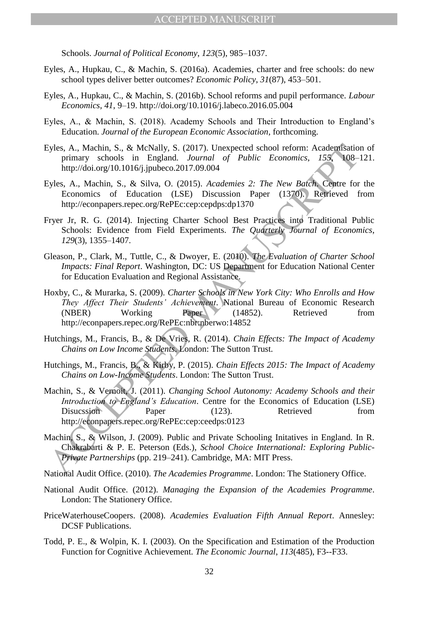Schools. *Journal of Political Economy*, *123*(5), 985–1037.

- Eyles, A., Hupkau, C., & Machin, S. (2016a). Academies, charter and free schools: do new school types deliver better outcomes? *Economic Policy*, *31*(87), 453–501.
- Eyles, A., Hupkau, C., & Machin, S. (2016b). School reforms and pupil performance. *Labour Economics*, *41*, 9–19. http://doi.org/10.1016/j.labeco.2016.05.004
- Eyles, A., & Machin, S. (2018). Academy Schools and Their Introduction to England"s Education. *Journal of the European Economic Association*, forthcoming.
- Eyles, A., Machin, S., & McNally, S. (2017). Unexpected school reform: Academisation of primary schools in England. *Journal of Public Economics*, *155*, 108–121. http://doi.org/10.1016/j.jpubeco.2017.09.004
- Eyles, A., Machin, S., & Silva, O. (2015). *Academies 2: The New Batch*. Centre for the Economics of Education (LSE) Discussion Paper (1370). Retrieved from http://econpapers.repec.org/RePEc:cep:cepdps:dp1370
- Fryer Jr, R. G. (2014). Injecting Charter School Best Practices into Traditional Public Schools: Evidence from Field Experiments. *The Quarterly Journal of Economics*, *129*(3), 1355–1407.
- Gleason, P., Clark, M., Tuttle, C., & Dwoyer, E. (2010). *The Evaluation of Charter School Impacts: Final Report*. Washington, DC: US Department for Education National Center for Education Evaluation and Regional Assistance.
- Hoxby, C., & Murarka, S. (2009). *Charter Schools in New York City: Who Enrolls and How They Affect Their Students' Achievement*. National Bureau of Economic Research (NBER) Working Paper (14852). Retrieved from http://econpapers.repec.org/RePEc:nbr:nberwo:14852
- Hutchings, M., Francis, B., & De Vries, R. (2014). *Chain Effects: The Impact of Academy Chains on Low Income Students*. London: The Sutton Trust.
- Hutchings, M., Francis, B., & Kirby, P. (2015). *Chain Effects 2015: The Impact of Academy Chains on Low-Income Students*. London: The Sutton Trust.
- Eyles, A., Machin, S., & Melbially, S. (2011). Unexpected school reform: Academirasium<br>
primary schools in England. Journal of Public Economics, 155 108-<br>
http://doi.org/10.1016/j.jpubeco.2017.09.004<br>
http://doi.org/10.101 Machin, S., & Vernoit, J. (2011). *Changing School Autonomy: Academy Schools and their Introduction to England's Education*. Centre for the Economics of Education (LSE) Disucssion Paper (123). Retrieved from http://econpapers.repec.org/RePEc:cep:ceedps:0123
- Machin, S., & Wilson, J. (2009). Public and Private Schooling Initatives in England. In R. Chakrabarti & P. E. Peterson (Eds.), *School Choice International: Exploring Public-Private Partnerships* (pp. 219–241). Cambridge, MA: MIT Press.
- National Audit Office. (2010). *The Academies Programme*. London: The Stationery Office.
- National Audit Office. (2012). *Managing the Expansion of the Academies Programme*. London: The Stationery Office.
- PriceWaterhouseCoopers. (2008). *Academies Evaluation Fifth Annual Report*. Annesley: DCSF Publications.
- Todd, P. E., & Wolpin, K. I. (2003). On the Specification and Estimation of the Production Function for Cognitive Achievement. *The Economic Journal*, *113*(485), F3--F33.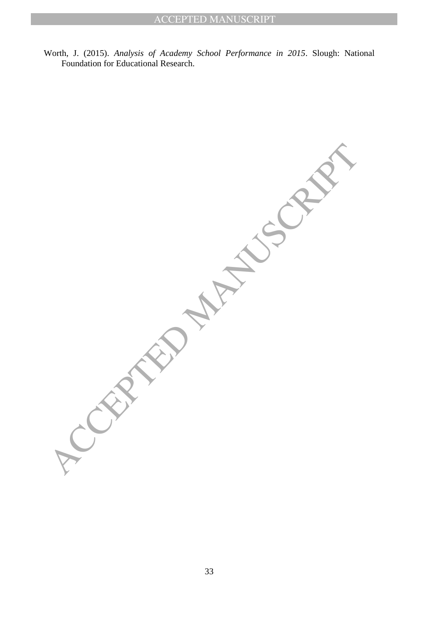Worth, J. (2015). *Analysis of Academy School Performance in 2015*. Slough: National Foundation for Educational Research.

ACCEPTED MANUSCRIPT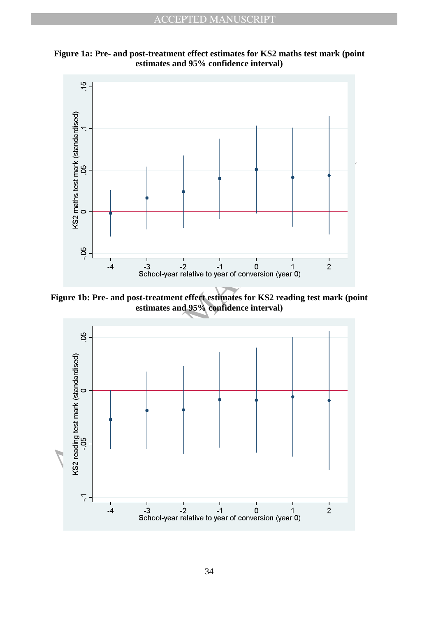

**Figure 1a: Pre- and post-treatment effect estimates for KS2 maths test mark (point estimates and 95% confidence interval)**

**Figure 1b: Pre- and post-treatment effect estimates for KS2 reading test mark (point estimates and 95% confidence interval)**

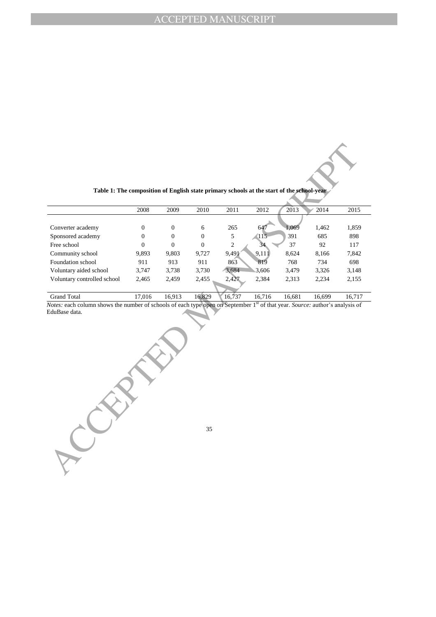|                             | 2008           | 2009     | 2010     | 2011   | 2012   | 2013   | 2014   | 2015   |
|-----------------------------|----------------|----------|----------|--------|--------|--------|--------|--------|
|                             |                |          |          |        |        |        |        |        |
| Converter academy           | $\overline{0}$ | $\Omega$ | 6        | 265    | 647    | 1,069  | 1,462  | 1,859  |
| Sponsored academy           | $\overline{0}$ | $\theta$ | $\Omega$ | 5      | (115   | 391    | 685    | 898    |
| Free school                 | $\overline{0}$ | $\Omega$ | $\Omega$ | 2      | 34.    | 37     | 92     | 117    |
| Community school            | 9.893          | 9,803    | 9,727    | 9,491  | 9,111  | 8.624  | 8,166  | 7,842  |
| Foundation school           | 911            | 913      | 911      | 863    | 819    | 768    | 734    | 698    |
| Voluntary aided school      | 3.747          | 3,738    | 3,730    | 3,684  | 3.606  | 3,479  | 3,326  | 3,148  |
| Voluntary controlled school | 2,465          | 2,459    | 2,455    | 2,427  | 2,384  | 2,313  | 2,234  | 2,155  |
|                             |                |          |          |        |        |        |        |        |
| <b>Grand Total</b>          | 17.016         | 16.913   | 16,829   | 16.737 | 16.716 | 16.681 | 16.699 | 16.717 |

**Table 1: The composition of English state primary schools at the start of the school-year**

*Notes:* each column shows the number of schools of each type open on September 1<sup>st</sup> of that year. *Source:* author's analysis of EduBase data.

35

ACCEPTED MANUSCRIPT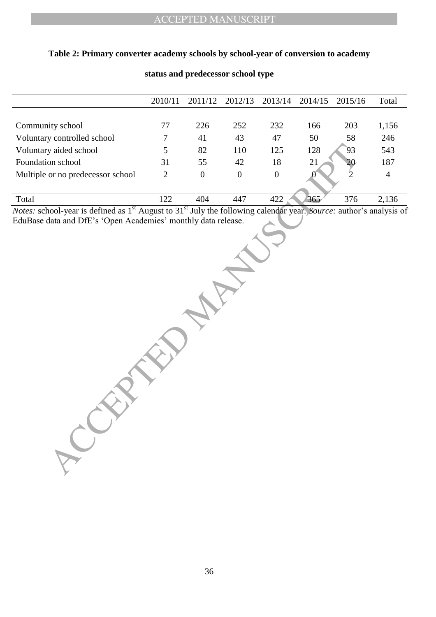## **Table 2: Primary converter academy schools by school-year of conversion to academy**

|                                                                                                                                            | 2010/11      | 2011/12          | 2012/13        | 2013/14          | 2014/15 | 2015/16        | Total          |
|--------------------------------------------------------------------------------------------------------------------------------------------|--------------|------------------|----------------|------------------|---------|----------------|----------------|
|                                                                                                                                            |              |                  |                |                  |         |                |                |
| Community school                                                                                                                           | $77\,$       | 226              | 252            | 232              | 166     | 203            | 1,156          |
| Voluntary controlled school                                                                                                                | 7            | 41               | 43             | 47               | 50      | 58             | 246            |
| Voluntary aided school                                                                                                                     | 5            | 82               | 110            | 125              | 128     | 93             | 543            |
| Foundation school                                                                                                                          | 31           | 55               | 42             | 18               | 21      | $\frac{20}{2}$ | 187            |
| Multiple or no predecessor school                                                                                                          | $\mathbf{2}$ | $\boldsymbol{0}$ | $\overline{0}$ | $\boldsymbol{0}$ | k)      |                | $\overline{4}$ |
| Total                                                                                                                                      | 122          | 404              | 447            | 422              | 365     | 376            | 2,136          |
| Votes: school-year is defined as 1 <sup>st</sup> August to 31 <sup>st</sup> July the following calendar year. Source: author's analysis of |              |                  |                |                  |         |                |                |
|                                                                                                                                            |              |                  |                |                  |         |                |                |
|                                                                                                                                            |              |                  |                |                  |         |                |                |

## **status and predecessor school type**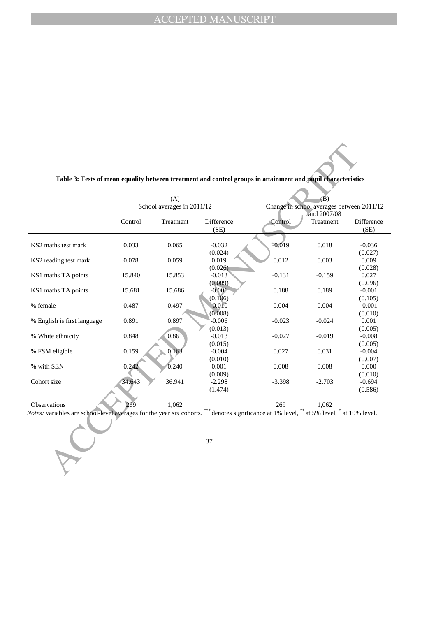|                             |         | (A)<br>School averages in 2011/12 |                           |          | $\overline{(\overline{B})}$<br>Change in school averages between 2011/12<br>and 2007/08 |                     |
|-----------------------------|---------|-----------------------------------|---------------------------|----------|-----------------------------------------------------------------------------------------|---------------------|
|                             | Control | Treatment                         | <b>Difference</b><br>(SE) | Control  | Treatment                                                                               | Difference<br>(SE)  |
| KS2 maths test mark         | 0.033   | 0.065                             | $-0.032$<br>(0.024)       | $-0.019$ | 0.018                                                                                   | $-0.036$<br>(0.027) |
| KS2 reading test mark       | 0.078   | 0.059                             | 0.019<br>(0.026)          | 0.012    | 0.003                                                                                   | 0.009<br>(0.028)    |
| KS1 maths TA points         | 15.840  | 15.853                            | $-0.013$<br>(0.089)       | $-0.131$ | $-0.159$                                                                                | 0.027<br>(0.096)    |
| KS1 maths TA points         | 15.681  | 15.686                            | $-0.006$<br>(0.106)       | 0.188    | 0.189                                                                                   | $-0.001$<br>(0.105) |
| % female                    | 0.487   | 0.497                             | $-0.010$<br>(0.008)       | 0.004    | 0.004                                                                                   | $-0.001$<br>(0.010) |
| % English is first language | 0.891   | 0.897                             | $-0.006$<br>(0.013)       | $-0.023$ | $-0.024$                                                                                | 0.001<br>(0.005)    |
| % White ethnicity           | 0.848   | 0.861                             | $-0.013$<br>(0.015)       | $-0.027$ | $-0.019$                                                                                | $-0.008$<br>(0.005) |
| % FSM eligible              | 0.159   | 0.163                             | $-0.004$<br>(0.010)       | 0.027    | 0.031                                                                                   | $-0.004$<br>(0.007) |
| % with SEN                  | 0.242   | 0.240                             | 0.001<br>(0.009)          | 0.008    | 0.008                                                                                   | 0.000<br>(0.010)    |
| Cohort size                 | 34.643  | 36.941                            | $-2.298$<br>(1.474)       | $-3.398$ | $-2.703$                                                                                | $-0.694$<br>(0.586) |
| Observations                | 269     | 1,062                             |                           | 269      | 1,062                                                                                   |                     |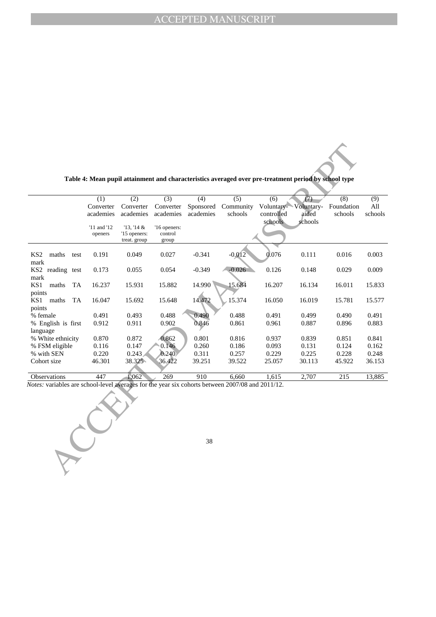|                                                                                                  |                               |                                          |                                  |                               | Table 4: Mean pupil attainment and characteristics averaged over pre-treatment period by school type |                                            |                                       |                              |                       |
|--------------------------------------------------------------------------------------------------|-------------------------------|------------------------------------------|----------------------------------|-------------------------------|------------------------------------------------------------------------------------------------------|--------------------------------------------|---------------------------------------|------------------------------|-----------------------|
|                                                                                                  |                               |                                          |                                  |                               |                                                                                                      |                                            |                                       |                              |                       |
|                                                                                                  | (1)<br>Converter<br>academies | (2)<br>Converter<br>academies            | (3)<br>Converter<br>academies    | (4)<br>Sponsored<br>academies | (5)<br>Community<br>schools                                                                          | (6)<br>Voluntary-<br>controlled<br>schools | (7)<br>Voluntary-<br>aided<br>schools | (8)<br>Foundation<br>schools | (9)<br>All<br>schools |
|                                                                                                  | '11 and '12<br>openers        | 13, 14 &<br>'15 openers:<br>treat. group | '16 openers:<br>control<br>group |                               |                                                                                                      |                                            |                                       |                              |                       |
| KS <sub>2</sub><br>maths<br>test<br>$\operatorname{mark}$                                        | 0.191                         | 0.049                                    | 0.027                            | $-0.341$                      | $-0.012$                                                                                             | 0.076                                      | 0.111                                 | 0.016                        | 0.003                 |
| KS2 reading test<br>mark                                                                         | 0.173                         | 0.055                                    | 0.054                            | $-0.349$                      | $-0.026$                                                                                             | 0.126                                      | 0.148                                 | 0.029                        | 0.009                 |
| KS1<br>maths<br>TA<br>points                                                                     | 16.237                        | 15.931                                   | 15.882                           | 14.990                        | 15.684                                                                                               | 16.207                                     | 16.134                                | 16.011                       | 15.833                |
| KS1<br>maths<br>TA<br>points                                                                     | 16.047                        | 15.692                                   | 15.648                           | 14.472                        | 15.374                                                                                               | 16.050                                     | 16.019                                | 15.781                       | 15.577                |
| % female<br>% English is first                                                                   | 0.491<br>0.912                | 0.493<br>0.911                           | 0.488<br>0.902                   | 0.490<br>0.846                | 0.488<br>0.861                                                                                       | 0.491<br>0.961                             | 0.499<br>0.887                        | 0.490<br>0.896               | 0.491<br>0.883        |
| language                                                                                         |                               |                                          |                                  |                               |                                                                                                      |                                            |                                       |                              |                       |
| % White ethnicity<br>% FSM eligible                                                              | 0.870<br>0.116                | 0.872<br>0.147                           | 0.862<br>0.146                   | 0.801<br>0.260                | 0.816<br>0.186                                                                                       | 0.937<br>0.093                             | 0.839<br>0.131                        | 0.851<br>0.124               | 0.841<br>0.162        |
| % with SEN                                                                                       | 0.220                         | 0.243                                    | 0.240                            | 0.311                         | 0.257                                                                                                | 0.229                                      | 0.225                                 | 0.228                        | 0.248                 |
| Cohort size                                                                                      | 46.301                        | 38.325                                   | 36.422                           | 39.251                        | 39.522                                                                                               | 25.057                                     | 30.113                                | 45.922                       | 36.153                |
| <b>Observations</b>                                                                              | 447                           | 1,062                                    | 269                              | $\overline{910}$              | 6,660                                                                                                | 1,615                                      | 2,707                                 | 215                          | 13,885                |
| Notes: variables are school-level averages for the year six cohorts between 2007/08 and 2011/12. |                               |                                          |                                  |                               |                                                                                                      |                                            |                                       |                              |                       |
|                                                                                                  |                               |                                          |                                  |                               |                                                                                                      |                                            |                                       |                              |                       |
|                                                                                                  |                               |                                          |                                  | 38                            |                                                                                                      |                                            |                                       |                              |                       |

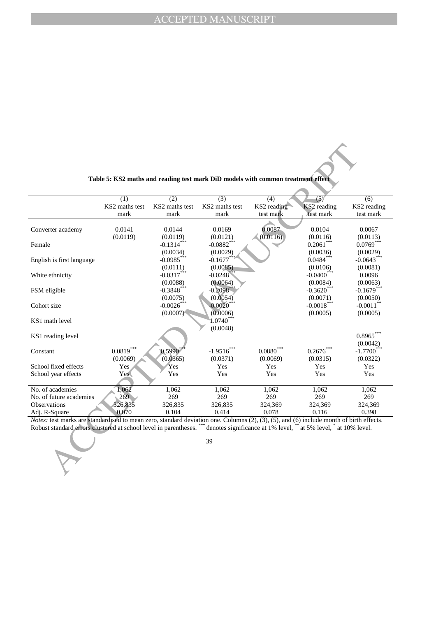| Table 5: KS2 maths and reading test mark DiD models with common treatment effect |  |  |  |  |
|----------------------------------------------------------------------------------|--|--|--|--|
|----------------------------------------------------------------------------------|--|--|--|--|

|                                                                                                                                                           |                    |                    | Table 5: KS2 maths and reading test mark DiD models with common treatment effect |                    |                    |                        |
|-----------------------------------------------------------------------------------------------------------------------------------------------------------|--------------------|--------------------|----------------------------------------------------------------------------------|--------------------|--------------------|------------------------|
|                                                                                                                                                           |                    |                    |                                                                                  |                    |                    |                        |
|                                                                                                                                                           | (1)                | (2)                | (3)                                                                              | (4)                | (5)                | (6)                    |
|                                                                                                                                                           | KS2 maths test     | KS2 maths test     | KS2 maths test                                                                   | KS2 reading        | KS2 reading        | KS2 reading            |
|                                                                                                                                                           | mark               | mark               | mark                                                                             | test mark          | test mark          | test mark              |
|                                                                                                                                                           |                    |                    |                                                                                  |                    |                    |                        |
| Converter academy                                                                                                                                         | 0.0141<br>(0.0119) | 0.0144<br>(0.0119) | 0.0169<br>(0.0121)                                                               | 0.0087<br>(0.0116) | 0.0104<br>(0.0116) | 0.0067<br>(0.0113)     |
| Female                                                                                                                                                    |                    | $-0.1314***$       | $-0.0882***$                                                                     |                    | $0.2061***$        | $0.0769***$            |
|                                                                                                                                                           |                    | (0.0034)           | (0.0029)                                                                         |                    | (0.0036)           | (0.0029)               |
| English is first language                                                                                                                                 |                    | $-0.0985***$       | $-0.1677$ **                                                                     |                    | $0.0484***$        | $-0.0643***$           |
|                                                                                                                                                           |                    | (0.0111)           | (0.0085)                                                                         |                    | (0.0106)           | (0.0081)               |
| White ethnicity                                                                                                                                           |                    | $-0.0317***$       | $-0.0248$ **                                                                     |                    | $-0.0400$ ***      | 0.0096                 |
|                                                                                                                                                           |                    | (0.0088)           | (0.0064)                                                                         |                    | (0.0084)           | (0.0063)               |
| FSM eligible                                                                                                                                              |                    | $-0.3848***$       | $-0.2098$ <sup>*</sup>                                                           |                    | $-0.3620$ ***      | $-0.1679$ ***          |
|                                                                                                                                                           |                    | (0.0075)           | (0.0054)                                                                         |                    | (0.0071)           | (0.0050)               |
| Cohort size                                                                                                                                               |                    | $-0.0026$          | $-0.0020$                                                                        |                    | $-0.0018$ ***      | $-0.0011$ <sup>*</sup> |
|                                                                                                                                                           |                    | (0.0007)           | (0.0006)                                                                         |                    | (0.0005)           | (0.0005)               |
| KS1 math level                                                                                                                                            |                    |                    | $^{\backprime}1.0740^{***}$                                                      |                    |                    |                        |
|                                                                                                                                                           |                    |                    | (0.0048)                                                                         |                    |                    |                        |
| KS1 reading level                                                                                                                                         |                    |                    |                                                                                  |                    |                    | $0.8965***$            |
|                                                                                                                                                           |                    |                    |                                                                                  |                    |                    | (0.0042)               |
| Constant                                                                                                                                                  | $0.0819***$        | $0.5990*$          | $-1.9516***$                                                                     | $0.0880***$        | $0.2676$ ***       | $-1.7700$ <sup>*</sup> |
|                                                                                                                                                           | (0.0069)           | (0.0365)           | (0.0371)                                                                         | (0.0069)           | (0.0315)           | (0.0322)               |
| School fixed effects                                                                                                                                      | Yes                | Yes                | Yes                                                                              | Yes                | Yes                | Yes                    |
| School year effects                                                                                                                                       | Yes <sup>®</sup>   | Yes                | Yes                                                                              | Yes                | Yes                | Yes                    |
|                                                                                                                                                           |                    |                    |                                                                                  |                    |                    |                        |
| No. of academies                                                                                                                                          | 1,062              | 1,062              | 1,062                                                                            | 1,062              | 1,062              | 1,062                  |
| No. of future academies                                                                                                                                   | 269                | 269                | 269                                                                              | 269                | 269                | 269                    |
| Observations                                                                                                                                              | 326,835            | 326,835            | 326,835                                                                          | 324,369            | 324,369            | 324,369                |
| Adj. R-Square                                                                                                                                             | 0.070              | 0.104              | 0.414                                                                            | 0.078              | 0.116              | 0.398                  |
| <i>Notes:</i> test marks are standardised to mean zero, standard deviation one. Columns $(2)$ , $(3)$ , $(5)$ , and $(6)$ include month of birth effects. |                    |                    |                                                                                  |                    |                    |                        |
| Robust standard errors clustered at school level in parentheses. *** denotes significance at 1% level, ** at 5% level, * at 10% level.                    |                    |                    |                                                                                  |                    |                    |                        |
|                                                                                                                                                           |                    |                    |                                                                                  |                    |                    |                        |
|                                                                                                                                                           |                    |                    | 39                                                                               |                    |                    |                        |
|                                                                                                                                                           |                    |                    |                                                                                  |                    |                    |                        |
|                                                                                                                                                           |                    |                    |                                                                                  |                    |                    |                        |
|                                                                                                                                                           |                    |                    |                                                                                  |                    |                    |                        |
|                                                                                                                                                           |                    |                    |                                                                                  |                    |                    |                        |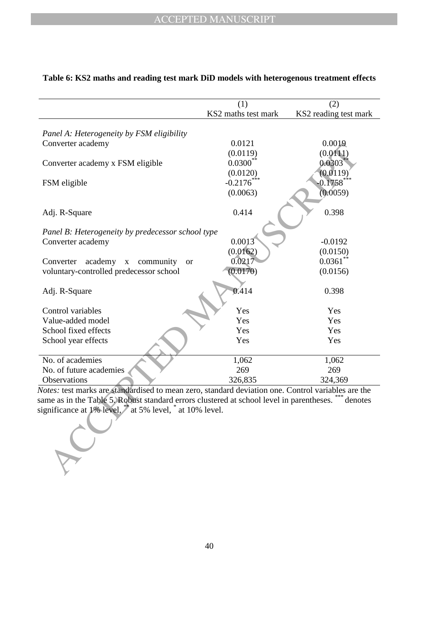|                                                                                                          | (1)                 | (2)                     |
|----------------------------------------------------------------------------------------------------------|---------------------|-------------------------|
|                                                                                                          | KS2 maths test mark | KS2 reading test mark   |
|                                                                                                          |                     |                         |
| Panel A: Heterogeneity by FSM eligibility                                                                |                     |                         |
| Converter academy                                                                                        | 0.0121              | 0.0019                  |
|                                                                                                          | (0.0119)            | (0.0111)                |
| Converter academy x FSM eligible                                                                         | $0.0300^{**}$       | 0.0303                  |
|                                                                                                          | (0.0120)            | (0.0119)                |
| FSM eligible                                                                                             | $-0.2176$           | $0.1758***$             |
|                                                                                                          | (0.0063)            | (0.0059)                |
|                                                                                                          |                     |                         |
| Adj. R-Square                                                                                            | 0.414               | 0.398                   |
|                                                                                                          |                     |                         |
| Panel B: Heterogeneity by predecessor school type                                                        |                     |                         |
| Converter academy                                                                                        | 0.0013              | $-0.0192$               |
|                                                                                                          | (0.0162)<br>0.0217  | (0.0150)<br>$0.0361$ ** |
| academy<br>Converter<br>community<br>$\mathbf X$<br><b>or</b><br>voluntary-controlled predecessor school | (0.0170)            | (0.0156)                |
|                                                                                                          |                     |                         |
| Adj. R-Square                                                                                            | 0.414               | 0.398                   |
|                                                                                                          |                     |                         |
| Control variables                                                                                        | Yes                 | Yes                     |
| Value-added model                                                                                        | Yes                 | Yes                     |
| School fixed effects                                                                                     | Yes                 | Yes                     |
| School year effects                                                                                      | Yes                 | Yes                     |
|                                                                                                          |                     |                         |
| No. of academies                                                                                         | 1,062               | 1,062                   |
| No. of future academies                                                                                  | 269                 | 269                     |
| Observations                                                                                             | 326,835             | 324,369                 |
| $Notes:$ test marks are standardised to mean zero, standard deviation one. Control variables are the     |                     |                         |
| same as in the Table 5. Robust standard errors clustered at school level in parentheses. *** denotes     |                     |                         |
| significance at 1% level, <sup>*</sup> at 5% level, * at 10% level.                                      |                     |                         |
|                                                                                                          |                     |                         |
|                                                                                                          |                     |                         |
|                                                                                                          |                     |                         |
|                                                                                                          |                     |                         |
|                                                                                                          |                     |                         |
|                                                                                                          |                     |                         |

## **Table 6: KS2 maths and reading test mark DiD models with heterogenous treatment effects**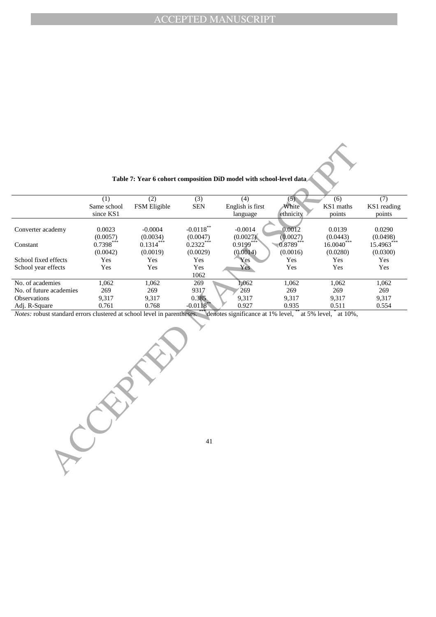| Table 7: Year 6 cohort composition DiD model with school-level data |  |  |
|---------------------------------------------------------------------|--|--|
|---------------------------------------------------------------------|--|--|

|                         | (1)         | (2)                 | (3)                    | (4)              | (5)                 | (6)          | (7)         |
|-------------------------|-------------|---------------------|------------------------|------------------|---------------------|--------------|-------------|
|                         | Same school | <b>FSM</b> Eligible | <b>SEN</b>             | English is first | White               | KS1 maths    | KS1 reading |
|                         | since KS1   |                     |                        | language         | ethnicity           | points       | points      |
|                         |             |                     |                        |                  |                     |              |             |
| Converter academy       | 0.0023      | $-0.0004$           | $-0.0118$ **           | $-0.0014$        | 0.0012              | 0.0139       | 0.0290      |
|                         | (0.0057)    | (0.0034)            | (0.0047)               | (0.0027)         | (0.0027)            | (0.0443)     | (0.0498)    |
| Constant                | $0.7398***$ | $0.1314***$         | $0.2322***$            | $0.9199***$      | $\sqrt{0.8789}$ *** | $16.0040***$ | 15.4963***  |
|                         | (0.0042)    | (0.0019)            | (0.0029)               | (0.0014)         | (0.0016)            | (0.0280)     | (0.0300)    |
| School fixed effects    | Yes         | Yes                 | Yes                    | Yes              | Yes                 | Yes          | Yes         |
| School year effects     | Yes         | Yes                 | Yes                    | Yes              | Yes                 | Yes          | Yes         |
|                         |             |                     | 1062                   |                  |                     |              |             |
| No. of academies        | 1,062       | 1,062               | 269                    | 1,062            | 1,062               | 1,062        | 1,062       |
| No. of future academies | 269         | 269                 | 9317                   | 269              | 269                 | 269          | 269         |
| <b>Observations</b>     | 9,317       | 9,317               | 0.385                  | 9,317            | 9,317               | 9,317        | 9,317       |
| Adj. R-Square           | 0.761       | 0.768               | $-0.0118$ <sup>*</sup> | 0.927            | 0.935               | 0.511        | 0.554       |

*Notes:* robust standard errors clustered at school level in parentheses. \*\*\* denotes significance at 1% level, \*\* at 5% level, \* at 10%,

**PCCEPTED**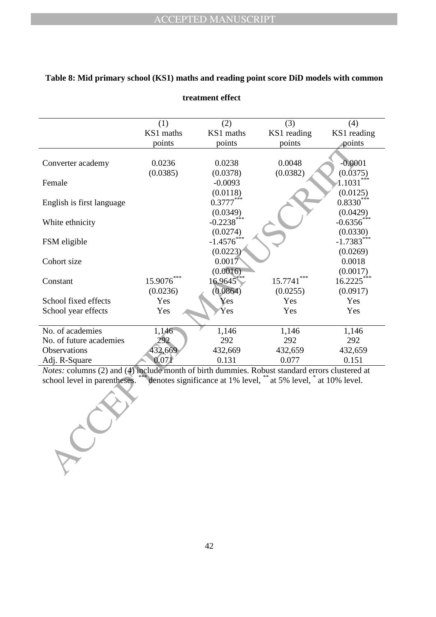|                                                                                                | (1)       | (2)           | (3)                                                               | (4)          |
|------------------------------------------------------------------------------------------------|-----------|---------------|-------------------------------------------------------------------|--------------|
|                                                                                                | KS1 maths | KS1 maths     | KS1 reading                                                       | KS1 reading  |
|                                                                                                | points    | points        | points                                                            | points       |
|                                                                                                |           |               |                                                                   |              |
| Converter academy                                                                              | 0.0236    | 0.0238        | 0.0048                                                            | $-0.0001$    |
|                                                                                                | (0.0385)  | (0.0378)      | (0.0382)                                                          | (0.0375)     |
| Female                                                                                         |           | $-0.0093$     |                                                                   | 1.1031       |
|                                                                                                |           | (0.0118)      |                                                                   | (0.0125)     |
| English is first language                                                                      |           | $0.3777***$   |                                                                   | $0.8330***$  |
|                                                                                                |           | (0.0349)      |                                                                   | (0.0429)     |
| White ethnicity                                                                                |           | $-0.2238$ *** |                                                                   | $-0.6356$    |
|                                                                                                |           | (0.0274)      |                                                                   | (0.0330)     |
| FSM eligible                                                                                   |           | $-1.4576$     |                                                                   | $-1.7383***$ |
|                                                                                                |           | (0.0223)      |                                                                   | (0.0269)     |
| Cohort size                                                                                    |           | 0.0017        |                                                                   | 0.0018       |
|                                                                                                |           | (0.0016)      |                                                                   | (0.0017)     |
| Constant                                                                                       | 15.9076   | 16.9645       | 15.7741                                                           | 16.2225      |
|                                                                                                | (0.0236)  | (0.0864)      | (0.0255)                                                          | (0.0917)     |
| School fixed effects                                                                           | Yes       | Yes           | Yes                                                               | Yes          |
| School year effects                                                                            | Yes       | Yes           | Yes                                                               | Yes          |
|                                                                                                |           |               |                                                                   |              |
| No. of academies                                                                               | 1,146     | 1,146         | 1,146                                                             | 1,146        |
| No. of future academies                                                                        | 292       | 292           | 292                                                               | 292          |
| Observations                                                                                   | 432,669   | 432,669       | 432,659                                                           | 432,659      |
| Adj. R-Square                                                                                  | 0.071     | 0.131         | 0.077                                                             | 0.151        |
| Notes: columns (2) and (4) include month of birth dummies. Robust standard errors clustered at |           |               |                                                                   |              |
| school level in parentheses.                                                                   |           |               | dénotes significance at 1% level, ** at 5% level, * at 10% level. |              |
|                                                                                                |           |               |                                                                   |              |
|                                                                                                |           |               |                                                                   |              |
|                                                                                                |           |               |                                                                   |              |
|                                                                                                |           |               |                                                                   |              |
|                                                                                                |           |               |                                                                   |              |
|                                                                                                |           |               |                                                                   |              |
|                                                                                                |           |               |                                                                   |              |
|                                                                                                |           |               |                                                                   |              |
|                                                                                                |           |               |                                                                   |              |
|                                                                                                |           |               |                                                                   |              |

## **Table 8: Mid primary school (KS1) maths and reading point score DiD models with common**

**treatment effect**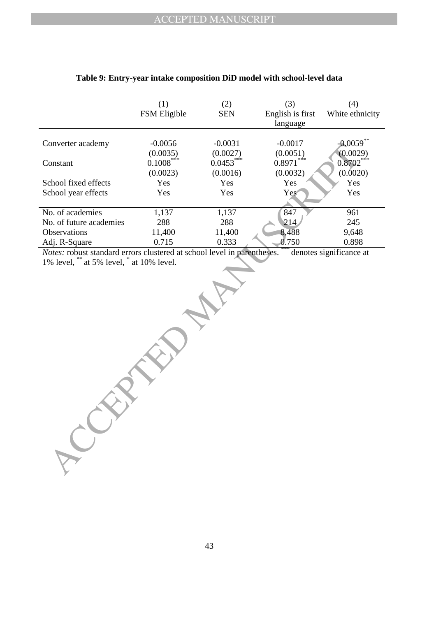|                         | (1)          | (2)         | (3)              | (4)             |
|-------------------------|--------------|-------------|------------------|-----------------|
|                         | FSM Eligible | <b>SEN</b>  | English is first | White ethnicity |
|                         |              |             | language         |                 |
|                         |              |             |                  |                 |
| Converter academy       | $-0.0056$    | $-0.0031$   | $-0.0017$        | $-0.0059$ **    |
|                         | (0.0035)     | (0.0027)    | (0.0051)         | (0.0029)        |
| Constant                | $0.1008***$  | $0.0453***$ | $0.8971***$      | $0.8702***$     |
|                         | (0.0023)     | (0.0016)    | (0.0032)         | (0.0020)        |
| School fixed effects    | Yes          | Yes         | Yes              | Yes             |
| School year effects     | Yes          | Yes         | Yes <sup>®</sup> | Yes             |
|                         |              |             |                  |                 |
| No. of academies        | 1,137        | 1,137       | 847              | 961             |
| No. of future academies | 288          | 288         | 214              | 245             |
| <b>Observations</b>     | 11,400       | 11,400      | 8,488            | 9,648           |
| Adj. R-Square           | 0.715        | 0.333       | 0.750            | 0.898           |

#### **Table 9: Entry-year intake composition DiD model with school-level data**

*Notes:* robust standard errors clustered at school level in parentheses. \*\*\* denotes significance at 1% level, \*\* at 5% level, \* at 10% level.

**PROPERTY**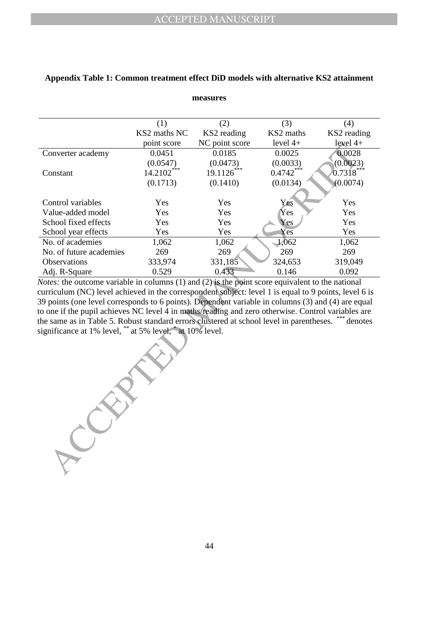|                                                                                                       | (1)                      | (2)            | (3)         | (4)         |
|-------------------------------------------------------------------------------------------------------|--------------------------|----------------|-------------|-------------|
|                                                                                                       | KS2 maths NC             | KS2 reading    | KS2 maths   | KS2 reading |
|                                                                                                       | point score              | NC point score | level $4+$  | $level 4+$  |
| Converter academy                                                                                     | 0.0451                   | 0.0185         | 0.0025      | 0.0028      |
|                                                                                                       | (0.0547)                 | (0.0473)       | (0.0033)    | (0.0023)    |
| Constant                                                                                              | $14.2102$ <sup>***</sup> | $19.1126***$   | $0.4742***$ | $0.7318***$ |
|                                                                                                       | (0.1713)                 | (0.1410)       | (0.0134)    | (0.0074)    |
|                                                                                                       |                          |                |             |             |
| Control variables                                                                                     | Yes                      | Yes            | Yes         | Yes         |
| Value-added model                                                                                     | Yes                      | Yes            | Yes         | Yes         |
| School fixed effects                                                                                  | Yes                      | Yes            | Yes         | Yes         |
| School year effects                                                                                   | Yes                      | Yes            | Yes         | Yes         |
| No. of academies                                                                                      | 1,062                    | 1,062          | 1,062       | 1,062       |
| No. of future academies                                                                               | 269                      | 269            | 269         | 269         |
| Observations                                                                                          | 333,974                  | 331,185        | 324,653     | 319,049     |
| Adj. R-Square                                                                                         | 0.529                    | 0.433          | 0.146       | 0.092       |
| Notes: the outcome variable in columns (1) and (2) is the point score equivalent to the national      |                          |                |             |             |
| curriculum (NC) level achieved in the correspondent subject: level 1 is equal to 9 points, level 6 is |                          |                |             |             |
| 39 points (one level corresponds to 6 points). Dependent variable in columns (3) and (4) are equal    |                          |                |             |             |
| to one if the pupil achieves NC level 4 in maths/reading and zero otherwise. Control variables are    |                          |                |             |             |
| the same as in Table 5. Robust standard errors clustered at school level in parentheses. *** denotes  |                          |                |             |             |
| significance at 1% level, ** at 5% level, * at 10% level.                                             |                          |                |             |             |
|                                                                                                       |                          |                |             |             |
|                                                                                                       |                          |                |             |             |
|                                                                                                       |                          |                |             |             |
|                                                                                                       |                          |                |             |             |
|                                                                                                       |                          |                |             |             |
|                                                                                                       |                          |                |             |             |
|                                                                                                       |                          |                |             |             |
|                                                                                                       |                          |                |             |             |
|                                                                                                       |                          |                |             |             |
|                                                                                                       |                          |                |             |             |
|                                                                                                       |                          |                |             |             |
|                                                                                                       |                          |                |             |             |
|                                                                                                       |                          |                |             |             |
|                                                                                                       |                          |                |             |             |
|                                                                                                       |                          |                |             |             |

## **Appendix Table 1: Common treatment effect DiD models with alternative KS2 attainment**

**measures**